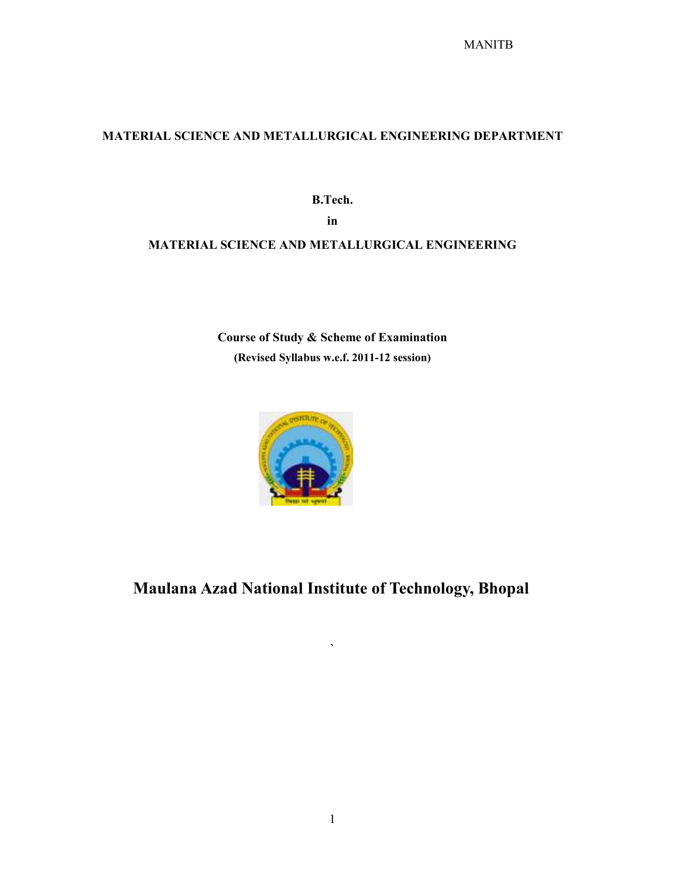# MATERIAL SCIENCE AND METALLURGICAL ENGINEERING DEPARTMENT

B.Tech. in

# MATERIAL SCIENCE AND METALLURGICAL ENGINEERING

Course of Study & Scheme of Examination (Revised Syllabus w.e.f. 2011-12 session)



Maulana Azad National Institute of Technology, Bhopal

 $\overline{\phantom{a}}$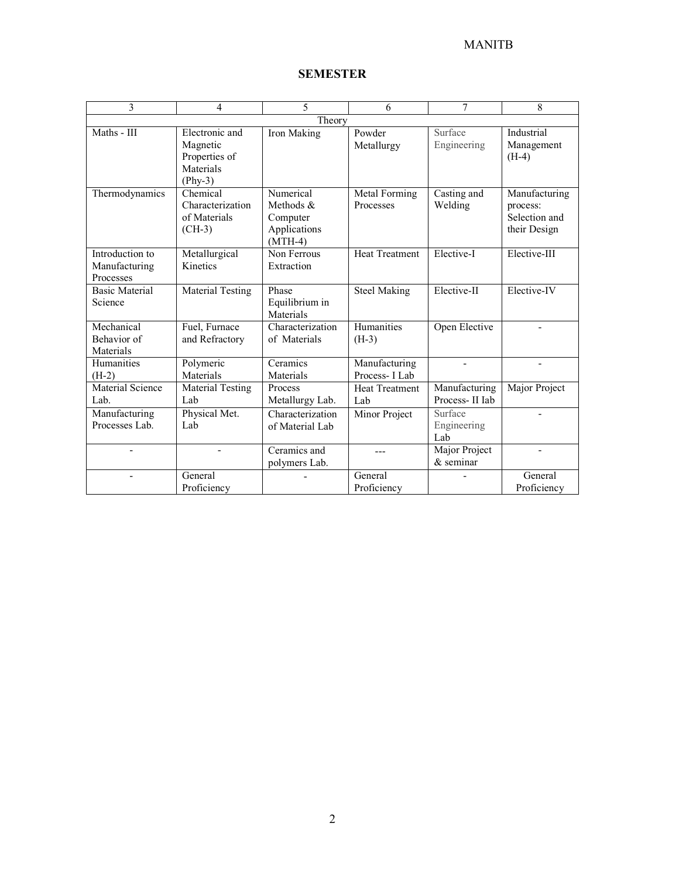| 3                                             | $\overline{4}$                                                         | 5                                                               | 6                               | 7                               | 8                                                          |
|-----------------------------------------------|------------------------------------------------------------------------|-----------------------------------------------------------------|---------------------------------|---------------------------------|------------------------------------------------------------|
|                                               |                                                                        | Theory                                                          |                                 |                                 |                                                            |
| Maths - III                                   | Electronic and<br>Magnetic<br>Properties of<br>Materials<br>$(Phys-3)$ | Iron Making                                                     | Powder<br>Metallurgy            | Surface<br>Engineering          | Industrial<br>Management<br>$(H-4)$                        |
| Thermodynamics                                | Chemical<br>Characterization<br>of Materials<br>$(CH-3)$               | Numerical<br>Methods &<br>Computer<br>Applications<br>$(MTH-4)$ | Metal Forming<br>Processes      | Casting and<br>Welding          | Manufacturing<br>process:<br>Selection and<br>their Design |
| Introduction to<br>Manufacturing<br>Processes | Metallurgical<br>Kinetics                                              | Non Ferrous<br>Extraction                                       | <b>Heat Treatment</b>           | Elective-I                      | Elective-III                                               |
| <b>Basic Material</b><br>Science              | Material Testing                                                       | Phase<br>Equilibrium in<br>Materials                            | <b>Steel Making</b>             | Elective-II                     | Elective-IV                                                |
| Mechanical<br>Behavior of<br>Materials        | Fuel, Furnace<br>and Refractory                                        | Characterization<br>of Materials                                | Humanities<br>$(H-3)$           | Open Elective                   |                                                            |
| Humanities<br>$(H-2)$                         | Polymeric<br>Materials                                                 | Ceramics<br>Materials                                           | Manufacturing<br>Process- I Lab |                                 | $\overline{\phantom{a}}$                                   |
| Material Science<br>Lab.                      | Material Testing<br>Lab                                                | Process<br>Metallurgy Lab.                                      | <b>Heat Treatment</b><br>Lab    | Manufacturing<br>Process-II Iab | Major Project                                              |
| Manufacturing<br>Processes Lab.               | Physical Met.<br>Lab                                                   | Characterization<br>of Material Lab                             | Minor Project                   | Surface<br>Engineering<br>Lab   |                                                            |
|                                               |                                                                        | Ceramics and<br>polymers Lab.                                   |                                 | Major Project<br>$&$ seminar    |                                                            |
|                                               | General<br>Proficiency                                                 |                                                                 | General<br>Proficiency          |                                 | General<br>Proficiency                                     |

# SEMESTER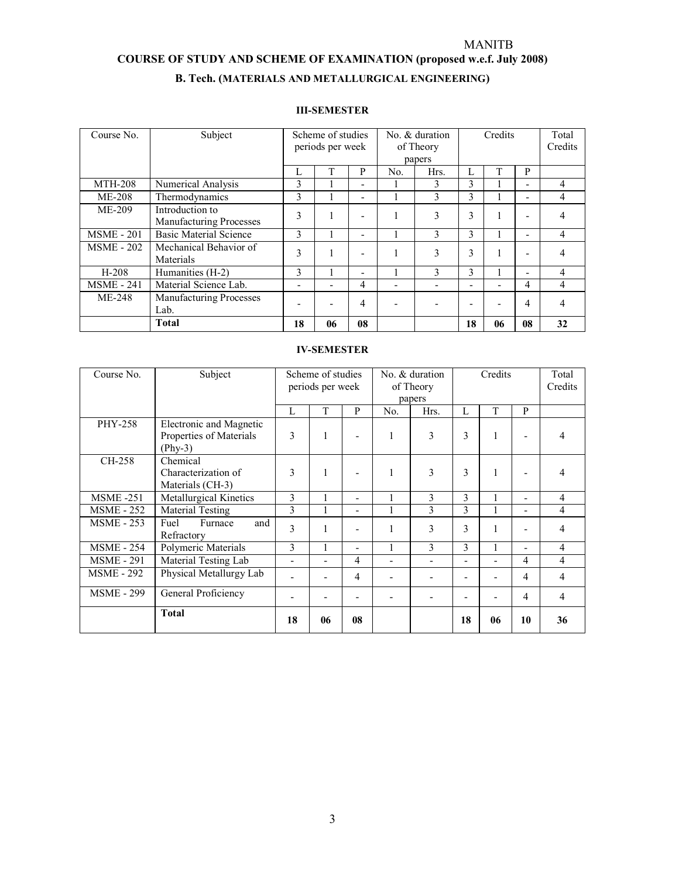#### COURSE OF STUDY AND SCHEME OF EXAMINATION (proposed w.e.f. July 2008)

# B. Tech. (MATERIALS AND METALLURGICAL ENGINEERING)

#### III-SEMESTER

| Course No.        | Subject                        |                          | Scheme of studies |    | No. & duration |               | Credits                  |    |                          | Total   |   |
|-------------------|--------------------------------|--------------------------|-------------------|----|----------------|---------------|--------------------------|----|--------------------------|---------|---|
|                   |                                |                          | periods per week  |    | of Theory      |               |                          |    |                          | Credits |   |
|                   |                                |                          |                   |    |                | papers        |                          |    |                          |         |   |
|                   |                                | Ι.                       |                   | P  | N <sub>o</sub> | Hrs.          | Ι.                       |    | P                        |         |   |
| <b>MTH-208</b>    | Numerical Analysis             | 3                        |                   |    |                | 3             | 3                        |    | $\overline{\phantom{0}}$ | 4       |   |
| <b>ME-208</b>     | Thermodynamics                 | 3                        |                   |    |                | 3             | 3                        |    | $\overline{\phantom{0}}$ | 4       |   |
| $ME-209$          | Introduction to                |                          | 3                 |    |                | 3             | 3                        |    |                          | 4       |   |
|                   | <b>Manufacturing Processes</b> |                          |                   |    |                |               |                          |    |                          |         |   |
| <b>MSME - 201</b> | <b>Basic Material Science</b>  | 3                        |                   |    |                | $\mathcal{E}$ | 3                        |    | $\overline{\phantom{0}}$ | 4       |   |
| <b>MSME - 202</b> | Mechanical Behavior of         |                          | 3                 |    |                | 3             | 3                        | 1  |                          | 4       |   |
|                   | Materials                      |                          |                   |    |                |               |                          |    |                          |         | ۰ |
| $H-208$           | Humanities (H-2)               | 3                        |                   |    |                | 3             | 3                        |    | $\overline{\phantom{0}}$ | 4       |   |
| <b>MSME</b> - 241 | Material Science Lab.          | $\overline{\phantom{a}}$ |                   | 4  |                |               | $\overline{\phantom{0}}$ |    | 4                        | 4       |   |
| <b>ME-248</b>     | Manufacturing Processes        |                          |                   | 4  |                |               |                          |    | 4                        | 4       |   |
|                   | Lab.                           |                          |                   |    |                |               |                          |    |                          |         |   |
|                   | Total                          | 18                       | 06                | 08 |                |               | 18                       | 06 | 08                       | 32      |   |

#### IV-SEMESTER

| Course No.        | Subject                                                         | Scheme of studies<br>periods per week |              | No. & duration<br>of Theory<br>papers |                | Credits |    |    | Total<br>Credits |                |
|-------------------|-----------------------------------------------------------------|---------------------------------------|--------------|---------------------------------------|----------------|---------|----|----|------------------|----------------|
|                   |                                                                 | L                                     | T            | P                                     | N <sub>0</sub> | Hrs.    | L  | T  | P                |                |
| <b>PHY-258</b>    | Electronic and Magnetic<br>Properties of Materials<br>$(Phv-3)$ | 3                                     | 1            |                                       | 1              | 3       | 3  | 1  |                  | 4              |
| CH-258            | Chemical<br>Characterization of<br>Materials (CH-3)             | 3                                     | $\mathbf{1}$ | -                                     | 1              | 3       | 3  | 1  |                  | 4              |
| <b>MSME -251</b>  | <b>Metallurgical Kinetics</b>                                   | 3                                     | 1            | -                                     |                | 3       | 3  |    | $\blacksquare$   | $\overline{4}$ |
| <b>MSME - 252</b> | Material Testing                                                | 3                                     | 1            | ٠                                     |                | 3       | 3  | 1  |                  | 4              |
| <b>MSME - 253</b> | Furnace<br>and<br>Fuel<br>Refractory                            | 3                                     | 1            |                                       | 1              | 3       | 3  | 1  |                  | 4              |
| <b>MSME - 254</b> | Polymeric Materials                                             | 3                                     | 1            | ۰                                     |                | 3       | 3  |    | ۰                | $\overline{4}$ |
| <b>MSME - 291</b> | Material Testing Lab                                            | Ξ.                                    | -            | $\overline{4}$                        | -              | ۰       |    | -  | 4                | 4              |
| <b>MSME - 292</b> | Physical Metallurgy Lab                                         |                                       |              | $\overline{4}$                        |                |         |    | -  | $\overline{4}$   | $\overline{4}$ |
| <b>MSME - 299</b> | General Proficiency<br>۰                                        |                                       |              | ۰                                     |                |         |    | -  | $\overline{4}$   | $\overline{4}$ |
|                   | <b>Total</b>                                                    | 18                                    | 06           | 08                                    |                |         | 18 | 06 | 10               | 36             |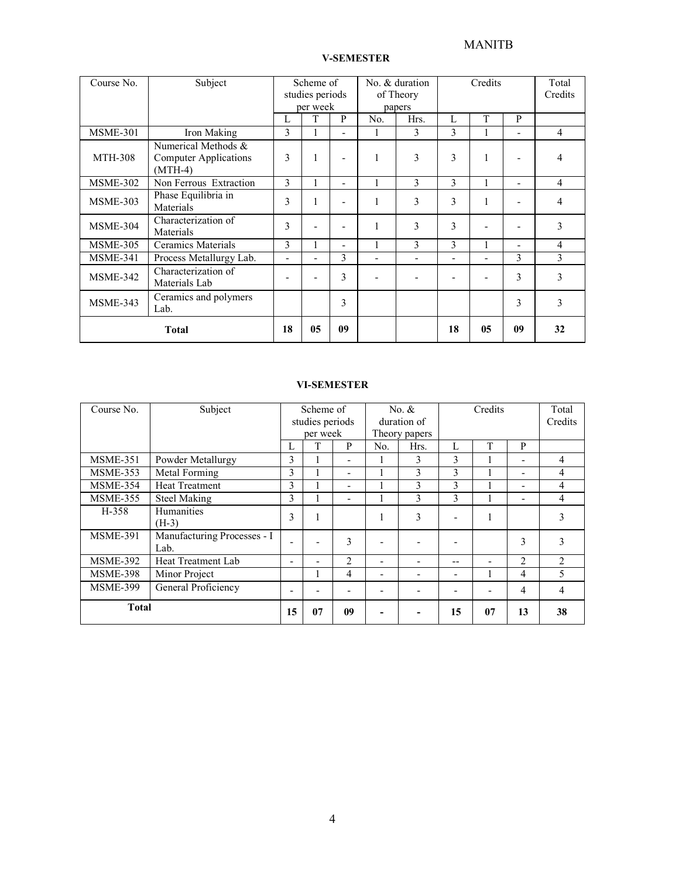# WANITB

| Course No.                                | Subject                                                          |   | Scheme of<br>studies periods<br>per week |                | No. & duration<br>of Theory<br>papers |                          | Credits                  |                          |                          | Total<br>Credits |
|-------------------------------------------|------------------------------------------------------------------|---|------------------------------------------|----------------|---------------------------------------|--------------------------|--------------------------|--------------------------|--------------------------|------------------|
|                                           |                                                                  | L | T                                        | P              | No.                                   | Hrs.                     | L                        | T                        | P                        |                  |
| <b>MSME-301</b>                           | Iron Making                                                      | 3 |                                          |                |                                       | 3                        | 3                        |                          | $\blacksquare$           | 4                |
| <b>MTH-308</b>                            | Numerical Methods &<br><b>Computer Applications</b><br>$(MTH-4)$ |   | л.                                       | ۰              |                                       | 3                        | 3                        | 1                        |                          | 4                |
| <b>MSME-302</b>                           | Non Ferrous Extraction                                           | 3 |                                          | $\blacksquare$ |                                       | 3                        | 3                        | 1                        | $\overline{\phantom{a}}$ | $\overline{4}$   |
| MSME-303                                  | Phase Equilibria in<br>Materials                                 | 3 |                                          |                |                                       | 3                        | 3                        |                          |                          | 4                |
| <b>MSME-304</b>                           | Characterization of<br>Materials                                 | 3 |                                          |                |                                       | 3                        | 3                        |                          |                          | 3                |
| <b>MSME-305</b>                           | Ceramics Materials                                               | 3 |                                          | $\blacksquare$ |                                       | 3                        | 3                        |                          | $\blacksquare$           | 4                |
| <b>MSME-341</b>                           | Process Metallurgy Lab.                                          | ۰ | $\blacksquare$                           | 3              | -                                     | $\overline{\phantom{0}}$ | $\overline{\phantom{0}}$ | $\overline{\phantom{a}}$ | 3                        | 3                |
| <b>MSME-342</b>                           | Characterization of<br>Materials Lab                             |   |                                          | 3              |                                       |                          |                          |                          | 3                        | 3                |
| Ceramics and polymers<br>MSME-343<br>Lab. |                                                                  |   |                                          | 3              |                                       |                          |                          |                          | 3                        | 3                |
| <b>Total</b>                              |                                                                  |   | 05                                       | 09             |                                       |                          | 18                       | 05                       | 09                       | 32               |

#### VI-SEMESTER

| Course No.      | Subject                             |   | Scheme of<br>studies periods |                | No. $&$<br>duration of |      | Credits |    |                | Total<br>Credits |
|-----------------|-------------------------------------|---|------------------------------|----------------|------------------------|------|---------|----|----------------|------------------|
|                 |                                     |   | per week                     |                | Theory papers          |      |         |    |                |                  |
|                 |                                     | L | m                            | P              | No.                    | Hrs. | L       | T  | P              |                  |
| <b>MSME-351</b> | Powder Metallurgy                   | 3 |                              |                |                        | 3    | 3       |    | ۰              | 4                |
| <b>MSME-353</b> | Metal Forming                       | 3 |                              |                |                        | 3    | 3       |    | -              | 4                |
| <b>MSME-354</b> | <b>Heat Treatment</b>               | 3 |                              | -              |                        | 3    | 3       |    | ۰              | 4                |
| <b>MSME-355</b> | <b>Steel Making</b>                 |   |                              |                |                        | 3    | 3       |    | ۰              | 4                |
| H-358           | <b>Humanities</b><br>$(H-3)$        | 3 | $\mathbf{1}$                 |                |                        | 3    | ۰       | 1  |                | 3                |
| <b>MSME-391</b> | Manufacturing Processes - I<br>Lab. |   |                              | 3              |                        |      |         |    | 3              | 3                |
| <b>MSME-392</b> | Heat Treatment Lab                  | ۰ |                              | $\overline{2}$ | ٠                      |      | --      |    | $\overline{2}$ | $\overline{2}$   |
| <b>MSME-398</b> | Minor Project                       |   |                              | $\overline{4}$ | ۰                      |      | -       |    | $\overline{4}$ | 5                |
| <b>MSME-399</b> | General Proficiency                 |   |                              |                |                        |      | ۰       |    | $\overline{4}$ | 4                |
| <b>Total</b>    |                                     |   | 07                           | 09             |                        |      | 15      | 07 | 13             | 38               |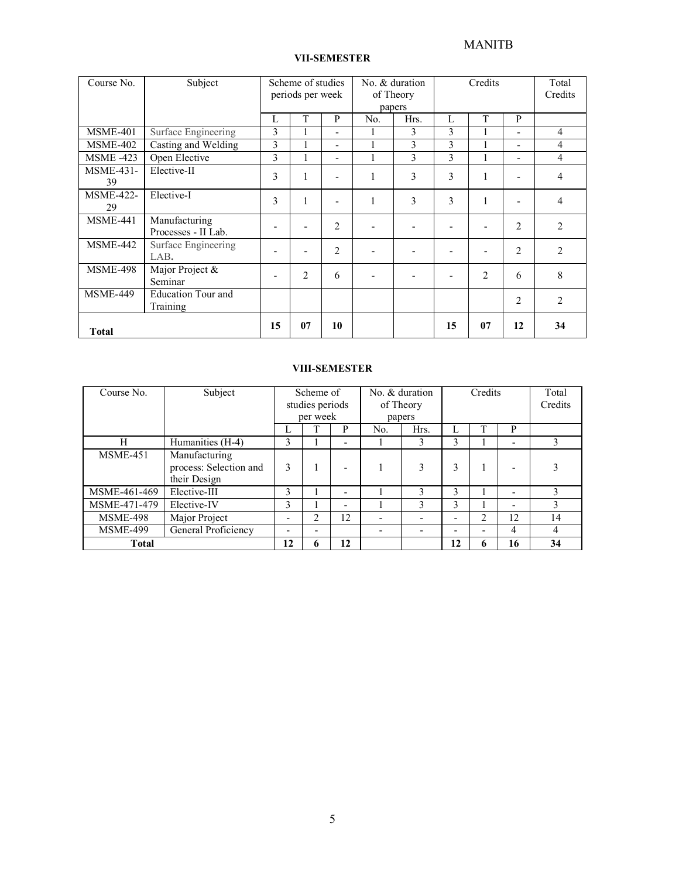### VII-SEMESTER

| Course No.             | Subject                               |    | Scheme of studies<br>periods per week |                          | No. & duration<br>of Theory |                | Credits |    |                | Total<br>Credits |
|------------------------|---------------------------------------|----|---------------------------------------|--------------------------|-----------------------------|----------------|---------|----|----------------|------------------|
|                        |                                       |    |                                       |                          |                             | papers         |         |    |                |                  |
|                        |                                       | L  | T                                     | P                        | No.                         | Hrs.           | L       | T  | P              |                  |
| <b>MSME-401</b>        | Surface Engineering                   | 3  |                                       | $\overline{\phantom{a}}$ |                             | 3              | 3       |    | Ξ.             | 4                |
| <b>MSME-402</b>        | Casting and Welding                   | 3  |                                       | $\overline{\phantom{a}}$ |                             | 3              | 3       |    | -              | 4                |
| <b>MSME -423</b>       | Open Elective                         | 3  | 1                                     | $\overline{\phantom{a}}$ | л.                          | 3              | 3       |    | Ξ.             | $\overline{4}$   |
| <b>MSME-431-</b><br>39 | Elective-II                           | 3  | 1                                     |                          | 1                           | 3              | 3       |    |                | 4                |
| <b>MSME-422-</b><br>29 | Elective-I                            | 3  | 1                                     | ٠                        | л.                          | 3              | 3       |    |                | 4                |
| <b>MSME-441</b>        | Manufacturing<br>Processes - II Lab.  |    | $\overline{\phantom{a}}$              | $\overline{c}$           | ٠                           | $\blacksquare$ |         |    | $\overline{2}$ | $\overline{2}$   |
| <b>MSME-442</b>        | Surface Engineering<br>LAB.           |    | ٠                                     | $\overline{2}$           | ۰                           | ٠              |         |    | $\overline{2}$ | $\overline{2}$   |
| <b>MSME-498</b>        | Major Project &<br>Seminar            | ۰  | $\overline{2}$                        | 6                        | $\overline{\phantom{0}}$    | $\blacksquare$ |         | 2  | 6              | 8                |
| <b>MSME-449</b>        | <b>Education Tour and</b><br>Training |    |                                       |                          |                             |                |         |    | $\overline{2}$ | $\overline{2}$   |
| <b>Total</b>           |                                       | 15 | 07                                    | 10                       |                             |                | 15      | 07 | 12             | 34               |

#### VIII-SEMESTER

| Course No.      | Subject                |    | Scheme of       |                          | No. & duration |              | Credits |                          |    | Total   |
|-----------------|------------------------|----|-----------------|--------------------------|----------------|--------------|---------|--------------------------|----|---------|
|                 |                        |    | studies periods |                          | of Theory      |              |         |                          |    | Credits |
|                 |                        |    | per week        |                          | papers         |              |         |                          |    |         |
|                 |                        | т, |                 | P                        | No.            | Hrs.         | ι.      |                          | P  |         |
| H               | Humanities (H-4)       | 3  |                 | $\overline{\phantom{0}}$ |                | 3            | 3       |                          | ۰  |         |
| <b>MSME-451</b> | Manufacturing          |    |                 |                          |                |              |         |                          |    |         |
|                 | process: Selection and | 3  |                 | $\overline{\phantom{0}}$ |                | 3            | 3       |                          |    |         |
|                 | their Design           |    |                 |                          |                |              |         |                          |    |         |
| MSME-461-469    | Elective-III           | 3  |                 | $\overline{\phantom{0}}$ |                | $\mathbf{3}$ | 3       |                          | ۰  | 3       |
| MSME-471-479    | Elective-IV            | 3  |                 | $\overline{\phantom{0}}$ |                | 3            | 3       |                          | ۰  |         |
| <b>MSME-498</b> | Major Project          |    | ↑               | 12                       |                |              |         | 2                        | 12 | 14      |
| <b>MSME-499</b> | General Proficiency    |    | -               |                          |                |              | -       | $\overline{\phantom{0}}$ | 4  | 4       |
| <b>Total</b>    |                        | 12 | 6               | 12                       |                |              | 12      | 6                        | 16 | 34      |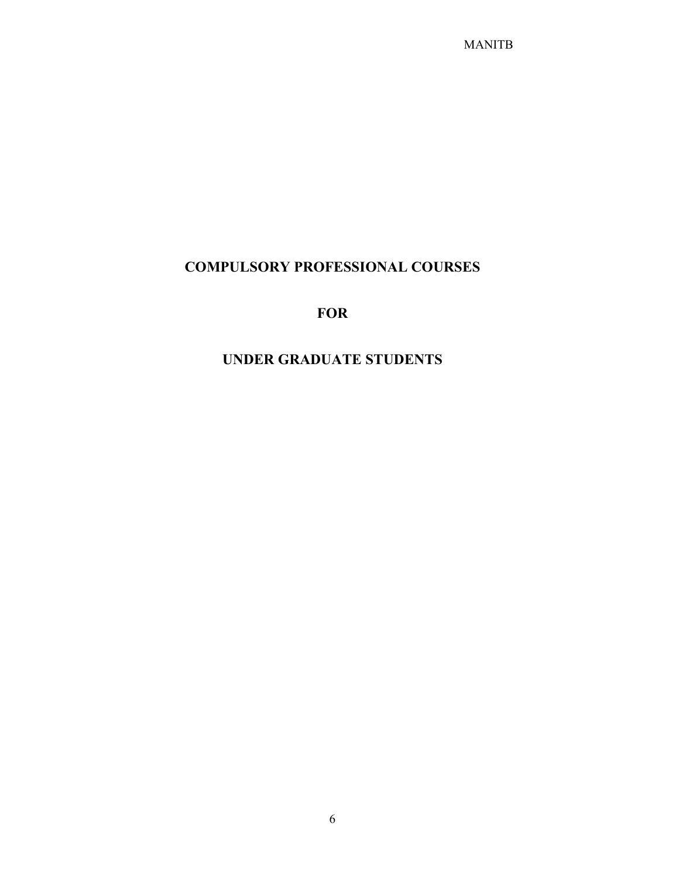# COMPULSORY PROFESSIONAL COURSES

# FOR

# UNDER GRADUATE STUDENTS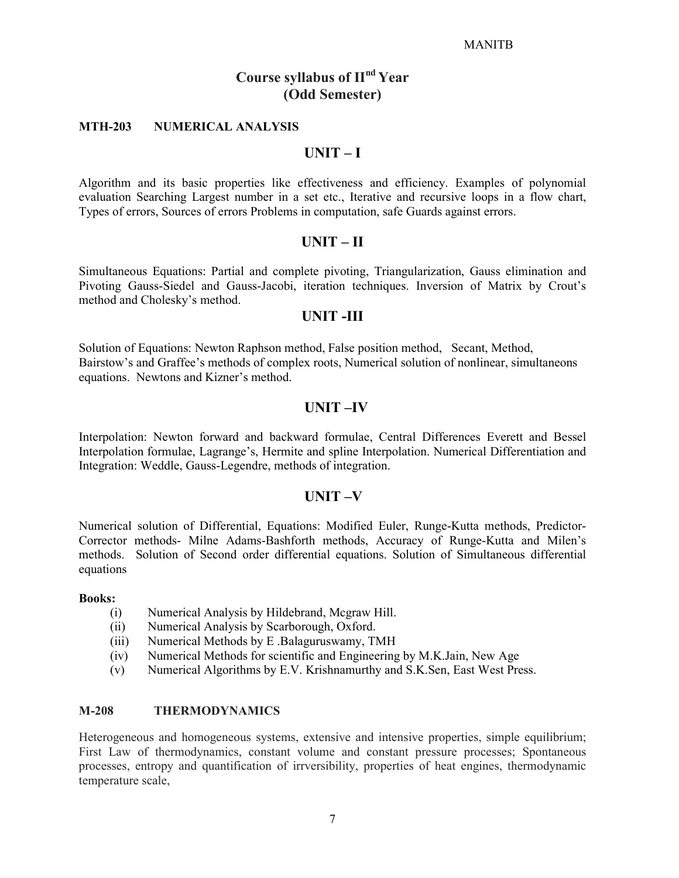# Course syllabus of  $\mathbf{H}^{\text{nd}}$  Year (Odd Semester)

#### MTH-203 NUMERICAL ANALYSIS

# UNIT – I

Algorithm and its basic properties like effectiveness and efficiency. Examples of polynomial evaluation Searching Largest number in a set etc., Iterative and recursive loops in a flow chart, Types of errors, Sources of errors Problems in computation, safe Guards against errors.

#### UNIT – II

Simultaneous Equations: Partial and complete pivoting, Triangularization, Gauss elimination and Pivoting Gauss-Siedel and Gauss-Jacobi, iteration techniques. Inversion of Matrix by Crout's method and Cholesky's method.

### UNIT -III

Solution of Equations: Newton Raphson method, False position method, Secant, Method, Bairstow's and Graffee's methods of complex roots, Numerical solution of nonlinear, simultaneons equations. Newtons and Kizner's method.

# UNIT –IV

Interpolation: Newton forward and backward formulae, Central Differences Everett and Bessel Interpolation formulae, Lagrange's, Hermite and spline Interpolation. Numerical Differentiation and Integration: Weddle, Gauss-Legendre, methods of integration.

# UNIT –V

Numerical solution of Differential, Equations: Modified Euler, Runge-Kutta methods, Predictor-Corrector methods- Milne Adams-Bashforth methods, Accuracy of Runge-Kutta and Milen's methods. Solution of Second order differential equations. Solution of Simultaneous differential equations

#### Books:

- (i) Numerical Analysis by Hildebrand, Mcgraw Hill.
- (ii) Numerical Analysis by Scarborough, Oxford.
- (iii) Numerical Methods by E .Balaguruswamy, TMH
- (iv) Numerical Methods for scientific and Engineering by M.K.Jain, New Age
- (v) Numerical Algorithms by E.V. Krishnamurthy and S.K.Sen, East West Press.

#### M-208 THERMODYNAMICS

Heterogeneous and homogeneous systems, extensive and intensive properties, simple equilibrium; First Law of thermodynamics, constant volume and constant pressure processes; Spontaneous processes, entropy and quantification of irrversibility, properties of heat engines, thermodynamic temperature scale,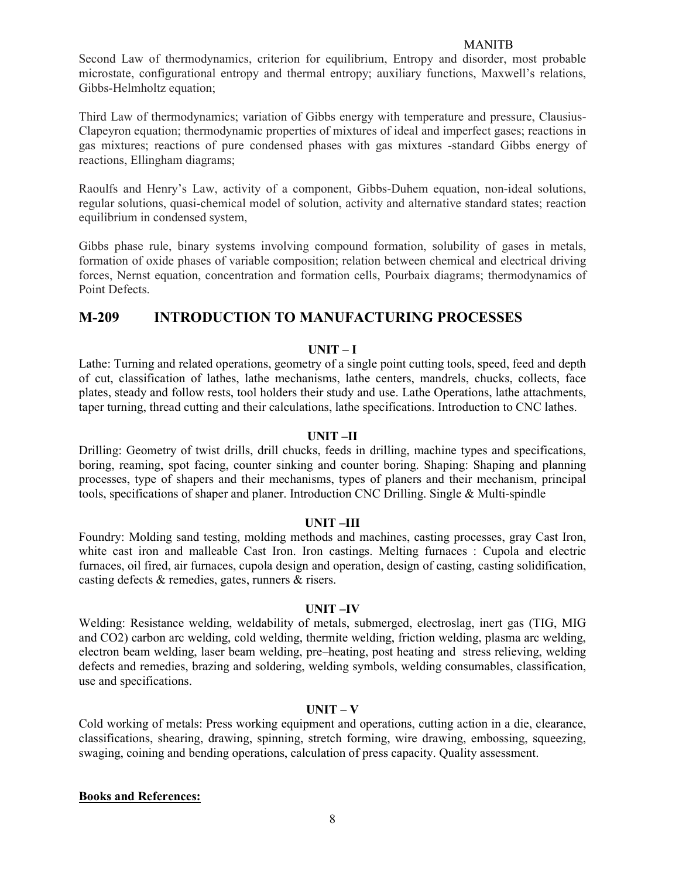Second Law of thermodynamics, criterion for equilibrium, Entropy and disorder, most probable microstate, configurational entropy and thermal entropy; auxiliary functions, Maxwell's relations, Gibbs-Helmholtz equation;

Third Law of thermodynamics; variation of Gibbs energy with temperature and pressure, Clausius-Clapeyron equation; thermodynamic properties of mixtures of ideal and imperfect gases; reactions in gas mixtures; reactions of pure condensed phases with gas mixtures -standard Gibbs energy of reactions, Ellingham diagrams;

Raoulfs and Henry's Law, activity of a component, Gibbs-Duhem equation, non-ideal solutions, regular solutions, quasi-chemical model of solution, activity and alternative standard states; reaction equilibrium in condensed system,

Gibbs phase rule, binary systems involving compound formation, solubility of gases in metals, formation of oxide phases of variable composition; relation between chemical and electrical driving forces, Nernst equation, concentration and formation cells, Pourbaix diagrams; thermodynamics of Point Defects.

# M-209 INTRODUCTION TO MANUFACTURING PROCESSES

#### $UNIT-I$

Lathe: Turning and related operations, geometry of a single point cutting tools, speed, feed and depth of cut, classification of lathes, lathe mechanisms, lathe centers, mandrels, chucks, collects, face plates, steady and follow rests, tool holders their study and use. Lathe Operations, lathe attachments, taper turning, thread cutting and their calculations, lathe specifications. Introduction to CNC lathes.

#### UNIT –II

Drilling: Geometry of twist drills, drill chucks, feeds in drilling, machine types and specifications, boring, reaming, spot facing, counter sinking and counter boring. Shaping: Shaping and planning processes, type of shapers and their mechanisms, types of planers and their mechanism, principal tools, specifications of shaper and planer. Introduction CNC Drilling. Single & Multi-spindle

#### UNIT –III

Foundry: Molding sand testing, molding methods and machines, casting processes, gray Cast Iron, white cast iron and malleable Cast Iron. Iron castings. Melting furnaces : Cupola and electric furnaces, oil fired, air furnaces, cupola design and operation, design of casting, casting solidification, casting defects & remedies, gates, runners & risers.

#### UNIT –IV

Welding: Resistance welding, weldability of metals, submerged, electroslag, inert gas (TIG, MIG and CO2) carbon arc welding, cold welding, thermite welding, friction welding, plasma arc welding, electron beam welding, laser beam welding, pre–heating, post heating and stress relieving, welding defects and remedies, brazing and soldering, welding symbols, welding consumables, classification, use and specifications.

#### $UNIT - V$

Cold working of metals: Press working equipment and operations, cutting action in a die, clearance, classifications, shearing, drawing, spinning, stretch forming, wire drawing, embossing, squeezing, swaging, coining and bending operations, calculation of press capacity. Quality assessment.

#### Books and References: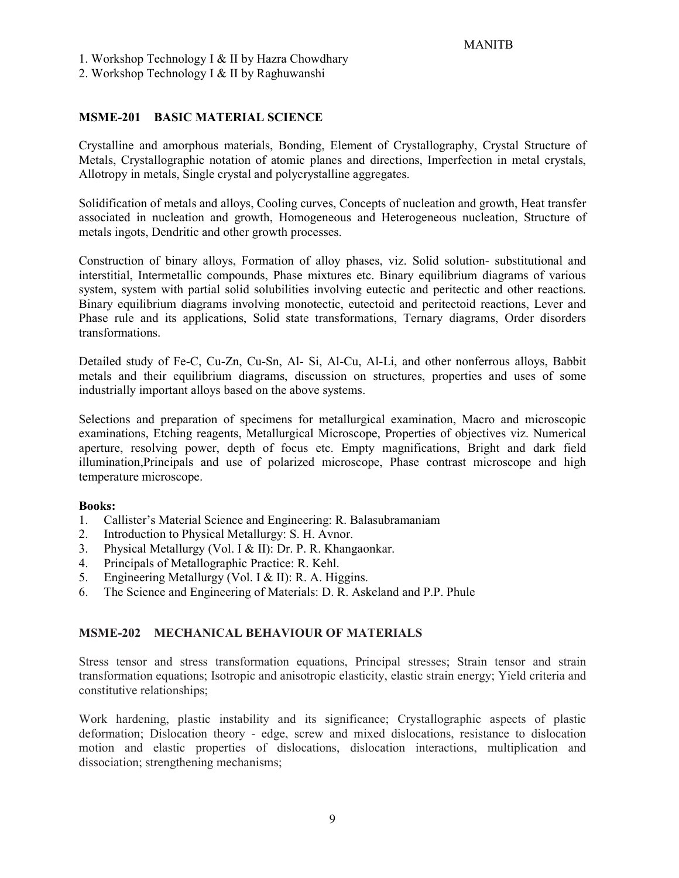1. Workshop Technology I & II by Hazra Chowdhary

2. Workshop Technology I & II by Raghuwanshi

### MSME-201 BASIC MATERIAL SCIENCE

Crystalline and amorphous materials, Bonding, Element of Crystallography, Crystal Structure of Metals, Crystallographic notation of atomic planes and directions, Imperfection in metal crystals, Allotropy in metals, Single crystal and polycrystalline aggregates.

Solidification of metals and alloys, Cooling curves, Concepts of nucleation and growth, Heat transfer associated in nucleation and growth, Homogeneous and Heterogeneous nucleation, Structure of metals ingots, Dendritic and other growth processes.

Construction of binary alloys, Formation of alloy phases, viz. Solid solution- substitutional and interstitial, Intermetallic compounds, Phase mixtures etc. Binary equilibrium diagrams of various system, system with partial solid solubilities involving eutectic and peritectic and other reactions. Binary equilibrium diagrams involving monotectic, eutectoid and peritectoid reactions, Lever and Phase rule and its applications, Solid state transformations, Ternary diagrams, Order disorders transformations.

Detailed study of Fe-C, Cu-Zn, Cu-Sn, Al- Si, Al-Cu, Al-Li, and other nonferrous alloys, Babbit metals and their equilibrium diagrams, discussion on structures, properties and uses of some industrially important alloys based on the above systems.

Selections and preparation of specimens for metallurgical examination, Macro and microscopic examinations, Etching reagents, Metallurgical Microscope, Properties of objectives viz. Numerical aperture, resolving power, depth of focus etc. Empty magnifications, Bright and dark field illumination,Principals and use of polarized microscope, Phase contrast microscope and high temperature microscope.

#### Books:

- 1. Callister's Material Science and Engineering: R. Balasubramaniam
- 2. Introduction to Physical Metallurgy: S. H. Avnor.
- 3. Physical Metallurgy (Vol. I & II): Dr. P. R. Khangaonkar.
- 4. Principals of Metallographic Practice: R. Kehl.
- 5. Engineering Metallurgy (Vol. I & II): R. A. Higgins.
- 6. The Science and Engineering of Materials: D. R. Askeland and P.P. Phule

# MSME-202 MECHANICAL BEHAVIOUR OF MATERIALS

Stress tensor and stress transformation equations, Principal stresses; Strain tensor and strain transformation equations; Isotropic and anisotropic elasticity, elastic strain energy; Yield criteria and constitutive relationships;

Work hardening, plastic instability and its significance; Crystallographic aspects of plastic deformation; Dislocation theory - edge, screw and mixed dislocations, resistance to dislocation motion and elastic properties of dislocations, dislocation interactions, multiplication and dissociation; strengthening mechanisms;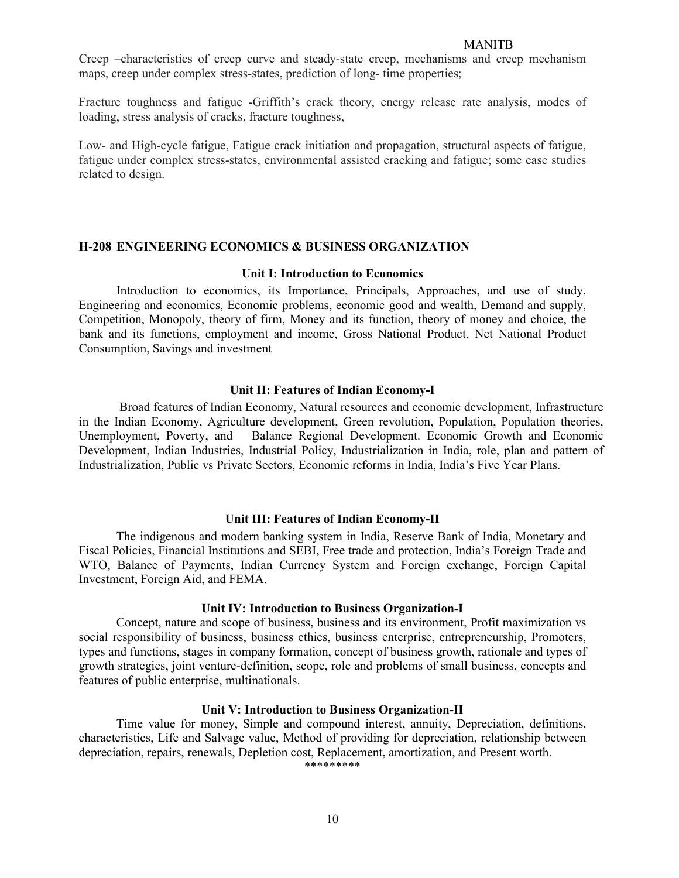Creep –characteristics of creep curve and steady-state creep, mechanisms and creep mechanism maps, creep under complex stress-states, prediction of long- time properties;

Fracture toughness and fatigue -Griffith's crack theory, energy release rate analysis, modes of loading, stress analysis of cracks, fracture toughness,

Low- and High-cycle fatigue, Fatigue crack initiation and propagation, structural aspects of fatigue, fatigue under complex stress-states, environmental assisted cracking and fatigue; some case studies related to design.

#### H-208 ENGINEERING ECONOMICS & BUSINESS ORGANIZATION

#### Unit I: Introduction to Economics

Introduction to economics, its Importance, Principals, Approaches, and use of study, Engineering and economics, Economic problems, economic good and wealth, Demand and supply, Competition, Monopoly, theory of firm, Money and its function, theory of money and choice, the bank and its functions, employment and income, Gross National Product, Net National Product Consumption, Savings and investment

#### Unit II: Features of Indian Economy-I

 Broad features of Indian Economy, Natural resources and economic development, Infrastructure in the Indian Economy, Agriculture development, Green revolution, Population, Population theories, Unemployment, Poverty, and Balance Regional Development. Economic Growth and Economic Development, Indian Industries, Industrial Policy, Industrialization in India, role, plan and pattern of Industrialization, Public vs Private Sectors, Economic reforms in India, India's Five Year Plans.

#### Unit III: Features of Indian Economy-II

 The indigenous and modern banking system in India, Reserve Bank of India, Monetary and Fiscal Policies, Financial Institutions and SEBI, Free trade and protection, India's Foreign Trade and WTO, Balance of Payments, Indian Currency System and Foreign exchange, Foreign Capital Investment, Foreign Aid, and FEMA.

#### Unit IV: Introduction to Business Organization-I

 Concept, nature and scope of business, business and its environment, Profit maximization vs social responsibility of business, business ethics, business enterprise, entrepreneurship, Promoters, types and functions, stages in company formation, concept of business growth, rationale and types of growth strategies, joint venture-definition, scope, role and problems of small business, concepts and features of public enterprise, multinationals.

#### Unit V: Introduction to Business Organization-II

Time value for money, Simple and compound interest, annuity, Depreciation, definitions, characteristics, Life and Salvage value, Method of providing for depreciation, relationship between depreciation, repairs, renewals, Depletion cost, Replacement, amortization, and Present worth. \*\*\*\*\*\*\*\*\*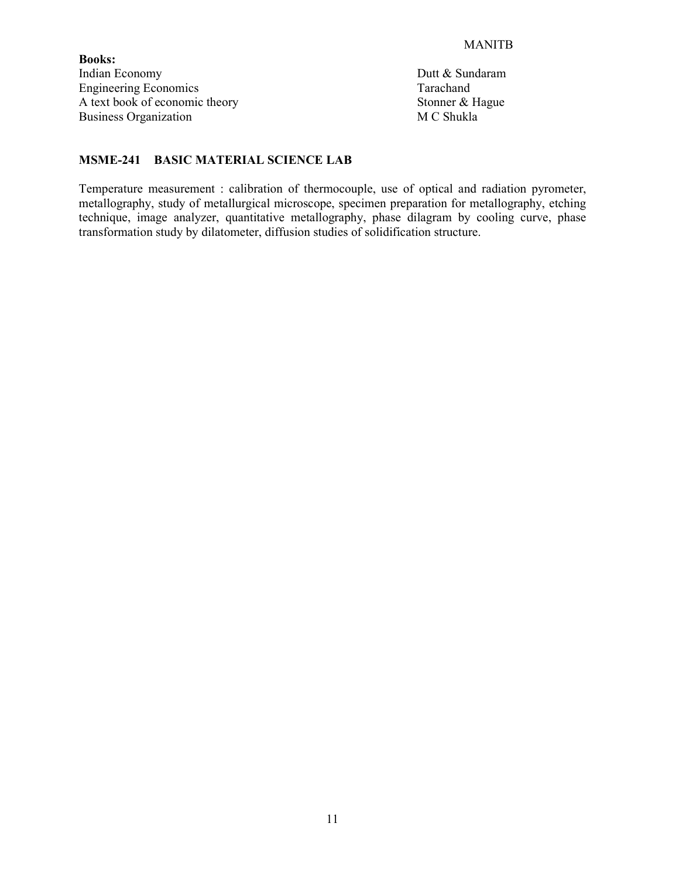Books: Indian Economy Dutt & Sundaram Engineering Economics<br>
A text book of economic theory<br>
Stonner & Hague A text book of economic theory Stonner & Hausiness Organization<br>
Business Organization<br>
M C Shukla Business Organization

# MSME-241 BASIC MATERIAL SCIENCE LAB

Temperature measurement : calibration of thermocouple, use of optical and radiation pyrometer, metallography, study of metallurgical microscope, specimen preparation for metallography, etching technique, image analyzer, quantitative metallography, phase dilagram by cooling curve, phase transformation study by dilatometer, diffusion studies of solidification structure.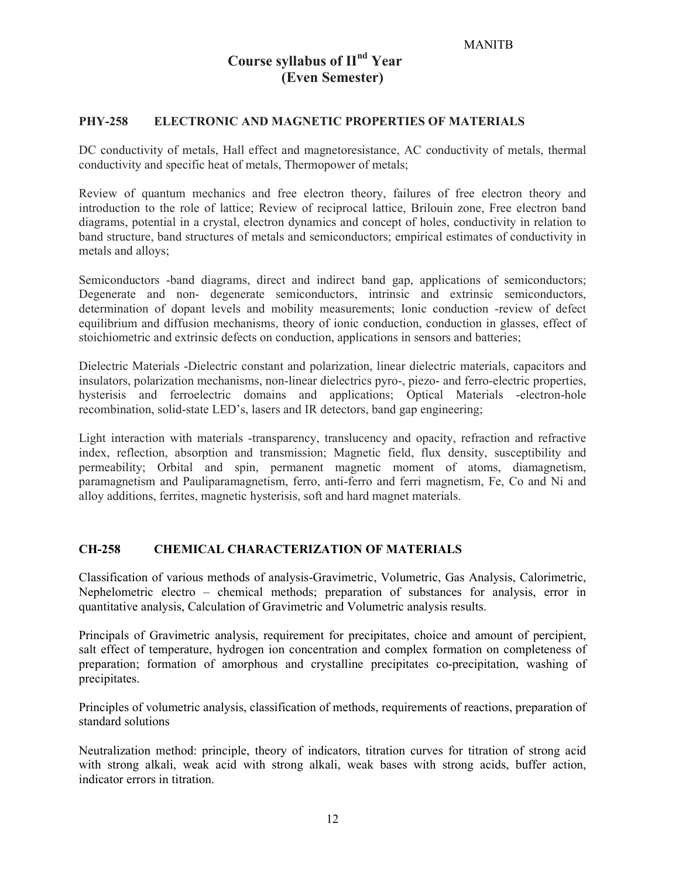# Course syllabus of  $II<sup>nd</sup> Year$ (Even Semester)

#### PHY-258 ELECTRONIC AND MAGNETIC PROPERTIES OF MATERIALS

DC conductivity of metals, Hall effect and magnetoresistance, AC conductivity of metals, thermal conductivity and specific heat of metals, Thermopower of metals;

Review of quantum mechanics and free electron theory, failures of free electron theory and introduction to the role of lattice; Review of reciprocal lattice, Brilouin zone, Free electron band diagrams, potential in a crystal, electron dynamics and concept of holes, conductivity in relation to band structure, band structures of metals and semiconductors; empirical estimates of conductivity in metals and alloys;

Semiconductors -band diagrams, direct and indirect band gap, applications of semiconductors; Degenerate and non- degenerate semiconductors, intrinsic and extrinsic semiconductors, determination of dopant levels and mobility measurements; Ionic conduction -review of defect equilibrium and diffusion mechanisms, theory of ionic conduction, conduction in glasses, effect of stoichiometric and extrinsic defects on conduction, applications in sensors and batteries;

Dielectric Materials -Dielectric constant and polarization, linear dielectric materials, capacitors and insulators, polarization mechanisms, non-linear dielectrics pyro-, piezo- and ferro-electric properties, hysterisis and ferroelectric domains and applications; Optical Materials -electron-hole recombination, solid-state LED's, lasers and IR detectors, band gap engineering;

Light interaction with materials -transparency, translucency and opacity, refraction and refractive index, reflection, absorption and transmission; Magnetic field, flux density, susceptibility and permeability; Orbital and spin, permanent magnetic moment of atoms, diamagnetism, paramagnetism and Pauliparamagnetism, ferro, anti-ferro and ferri magnetism, Fe, Co and Ni and alloy additions, ferrites, magnetic hysterisis, soft and hard magnet materials.

# CH-258 CHEMICAL CHARACTERIZATION OF MATERIALS

Classification of various methods of analysis-Gravimetric, Volumetric, Gas Analysis, Calorimetric, Nephelometric electro – chemical methods; preparation of substances for analysis, error in quantitative analysis, Calculation of Gravimetric and Volumetric analysis results.

Principals of Gravimetric analysis, requirement for precipitates, choice and amount of percipient, salt effect of temperature, hydrogen ion concentration and complex formation on completeness of preparation; formation of amorphous and crystalline precipitates co-precipitation, washing of precipitates.

Principles of volumetric analysis, classification of methods, requirements of reactions, preparation of standard solutions

Neutralization method: principle, theory of indicators, titration curves for titration of strong acid with strong alkali, weak acid with strong alkali, weak bases with strong acids, buffer action, indicator errors in titration.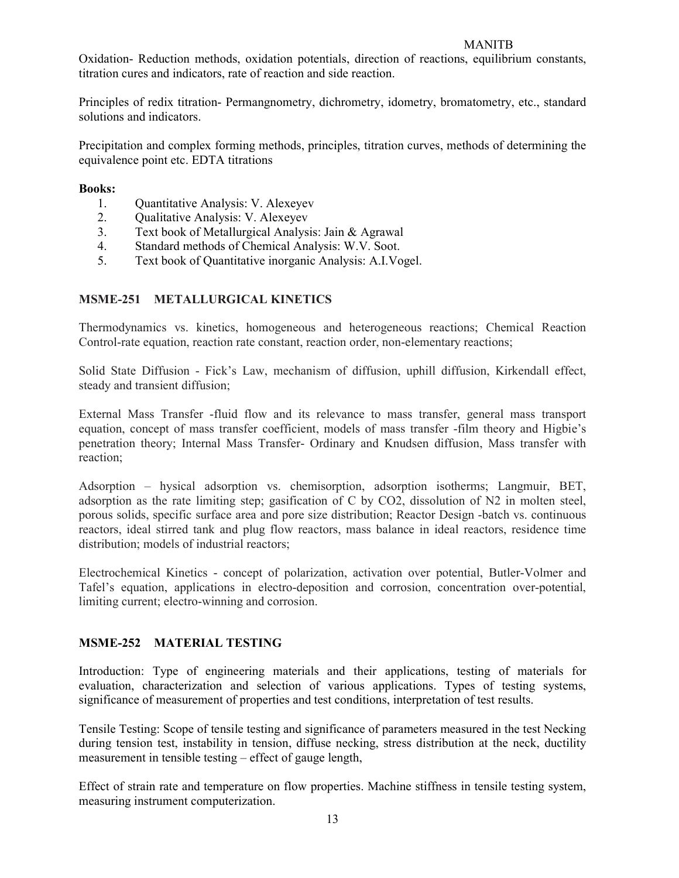Oxidation- Reduction methods, oxidation potentials, direction of reactions, equilibrium constants, titration cures and indicators, rate of reaction and side reaction.

Principles of redix titration- Permangnometry, dichrometry, idometry, bromatometry, etc., standard solutions and indicators.

Precipitation and complex forming methods, principles, titration curves, methods of determining the equivalence point etc. EDTA titrations

#### Books:

- 1. Quantitative Analysis: V. Alexeyev
- 2. Qualitative Analysis: V. Alexeyev
- 3. Text book of Metallurgical Analysis: Jain & Agrawal
- 4. Standard methods of Chemical Analysis: W.V. Soot.
- 5. Text book of Quantitative inorganic Analysis: A.I.Vogel.

### MSME-251 METALLURGICAL KINETICS

Thermodynamics vs. kinetics, homogeneous and heterogeneous reactions; Chemical Reaction Control-rate equation, reaction rate constant, reaction order, non-elementary reactions;

Solid State Diffusion - Fick's Law, mechanism of diffusion, uphill diffusion, Kirkendall effect, steady and transient diffusion;

External Mass Transfer -fluid flow and its relevance to mass transfer, general mass transport equation, concept of mass transfer coefficient, models of mass transfer -film theory and Higbie's penetration theory; Internal Mass Transfer- Ordinary and Knudsen diffusion, Mass transfer with reaction;

Adsorption – hysical adsorption vs. chemisorption, adsorption isotherms; Langmuir, BET, adsorption as the rate limiting step; gasification of C by CO2, dissolution of N2 in molten steel, porous solids, specific surface area and pore size distribution; Reactor Design -batch vs. continuous reactors, ideal stirred tank and plug flow reactors, mass balance in ideal reactors, residence time distribution; models of industrial reactors;

Electrochemical Kinetics - concept of polarization, activation over potential, Butler-Volmer and Tafel's equation, applications in electro-deposition and corrosion, concentration over-potential, limiting current; electro-winning and corrosion.

# MSME-252 MATERIAL TESTING

Introduction: Type of engineering materials and their applications, testing of materials for evaluation, characterization and selection of various applications. Types of testing systems, significance of measurement of properties and test conditions, interpretation of test results.

Tensile Testing: Scope of tensile testing and significance of parameters measured in the test Necking during tension test, instability in tension, diffuse necking, stress distribution at the neck, ductility measurement in tensible testing – effect of gauge length,

Effect of strain rate and temperature on flow properties. Machine stiffness in tensile testing system, measuring instrument computerization.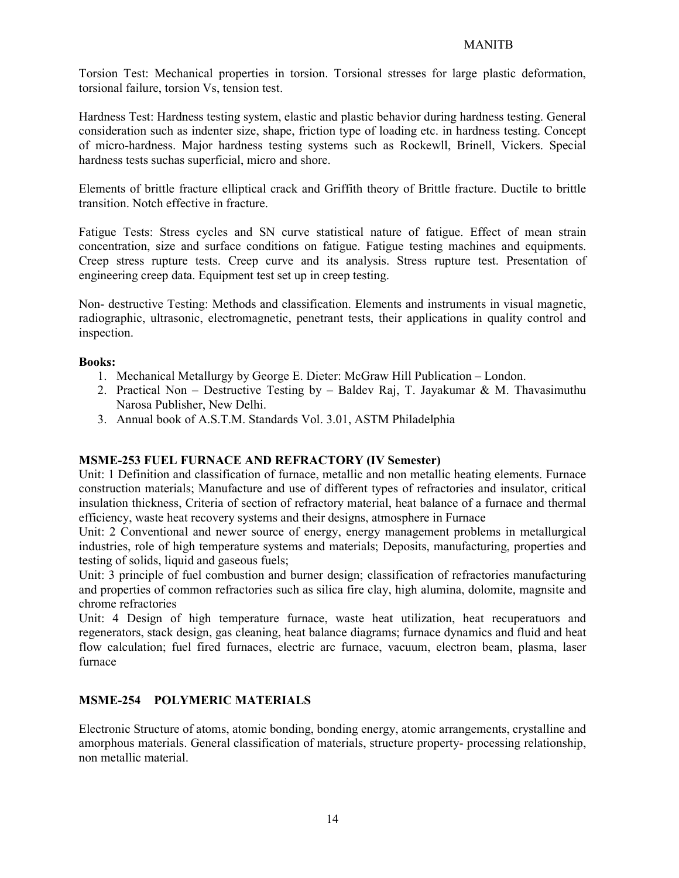Torsion Test: Mechanical properties in torsion. Torsional stresses for large plastic deformation, torsional failure, torsion Vs, tension test.

Hardness Test: Hardness testing system, elastic and plastic behavior during hardness testing. General consideration such as indenter size, shape, friction type of loading etc. in hardness testing. Concept of micro-hardness. Major hardness testing systems such as Rockewll, Brinell, Vickers. Special hardness tests suchas superficial, micro and shore.

Elements of brittle fracture elliptical crack and Griffith theory of Brittle fracture. Ductile to brittle transition. Notch effective in fracture.

Fatigue Tests: Stress cycles and SN curve statistical nature of fatigue. Effect of mean strain concentration, size and surface conditions on fatigue. Fatigue testing machines and equipments. Creep stress rupture tests. Creep curve and its analysis. Stress rupture test. Presentation of engineering creep data. Equipment test set up in creep testing.

Non- destructive Testing: Methods and classification. Elements and instruments in visual magnetic, radiographic, ultrasonic, electromagnetic, penetrant tests, their applications in quality control and inspection.

### Books:

- 1. Mechanical Metallurgy by George E. Dieter: McGraw Hill Publication London.
- 2. Practical Non Destructive Testing by Baldev Raj, T. Jayakumar & M. Thavasimuthu Narosa Publisher, New Delhi.
- 3. Annual book of A.S.T.M. Standards Vol. 3.01, ASTM Philadelphia

# MSME-253 FUEL FURNACE AND REFRACTORY (IV Semester)

Unit: 1 Definition and classification of furnace, metallic and non metallic heating elements. Furnace construction materials; Manufacture and use of different types of refractories and insulator, critical insulation thickness, Criteria of section of refractory material, heat balance of a furnace and thermal efficiency, waste heat recovery systems and their designs, atmosphere in Furnace

Unit: 2 Conventional and newer source of energy, energy management problems in metallurgical industries, role of high temperature systems and materials; Deposits, manufacturing, properties and testing of solids, liquid and gaseous fuels;

Unit: 3 principle of fuel combustion and burner design; classification of refractories manufacturing and properties of common refractories such as silica fire clay, high alumina, dolomite, magnsite and chrome refractories

Unit: 4 Design of high temperature furnace, waste heat utilization, heat recuperatuors and regenerators, stack design, gas cleaning, heat balance diagrams; furnace dynamics and fluid and heat flow calculation; fuel fired furnaces, electric arc furnace, vacuum, electron beam, plasma, laser furnace

#### MSME-254 POLYMERIC MATERIALS

Electronic Structure of atoms, atomic bonding, bonding energy, atomic arrangements, crystalline and amorphous materials. General classification of materials, structure property- processing relationship, non metallic material.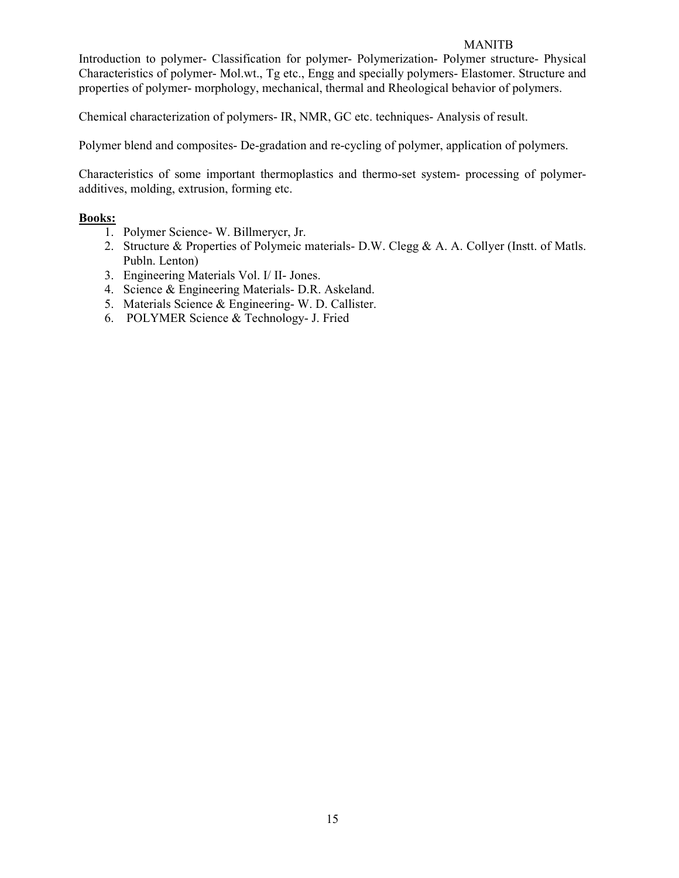Introduction to polymer- Classification for polymer- Polymerization- Polymer structure- Physical Characteristics of polymer- Mol.wt., Tg etc., Engg and specially polymers- Elastomer. Structure and properties of polymer- morphology, mechanical, thermal and Rheological behavior of polymers.

Chemical characterization of polymers- IR, NMR, GC etc. techniques- Analysis of result.

Polymer blend and composites- De-gradation and re-cycling of polymer, application of polymers.

Characteristics of some important thermoplastics and thermo-set system- processing of polymeradditives, molding, extrusion, forming etc.

# Books:

- 1. Polymer Science- W. Billmerycr, Jr.
- 2. Structure & Properties of Polymeic materials- D.W. Clegg & A. A. Collyer (Instt. of Matls. Publn. Lenton)
- 3. Engineering Materials Vol. I/ II- Jones.
- 4. Science & Engineering Materials- D.R. Askeland.
- 5. Materials Science & Engineering- W. D. Callister.
- 6. POLYMER Science & Technology- J. Fried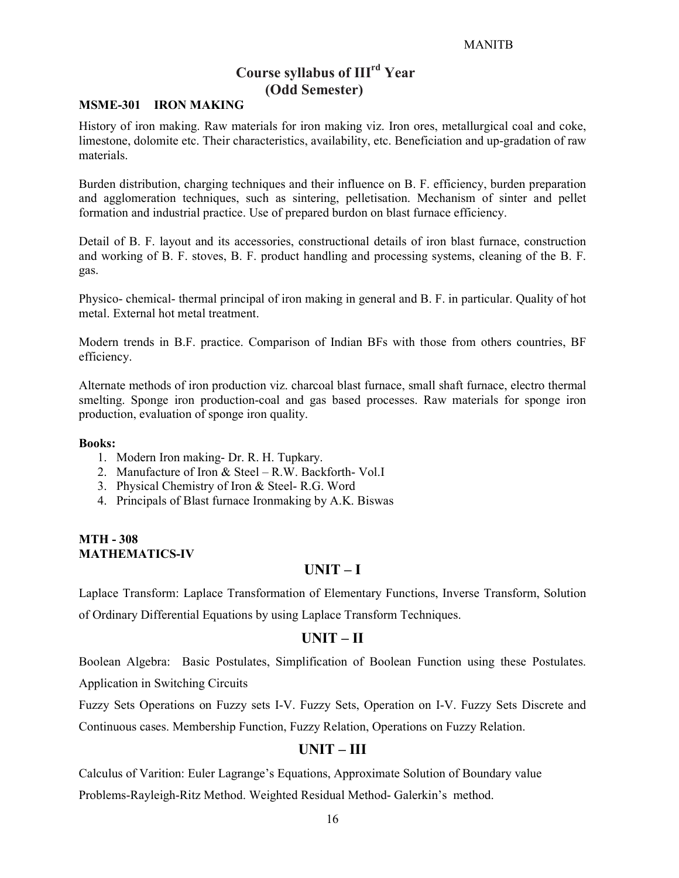# Course syllabus of IIIrd Year (Odd Semester)

# MSME-301 IRON MAKING

History of iron making. Raw materials for iron making viz. Iron ores, metallurgical coal and coke, limestone, dolomite etc. Their characteristics, availability, etc. Beneficiation and up-gradation of raw materials.

Burden distribution, charging techniques and their influence on B. F. efficiency, burden preparation and agglomeration techniques, such as sintering, pelletisation. Mechanism of sinter and pellet formation and industrial practice. Use of prepared burdon on blast furnace efficiency.

Detail of B. F. layout and its accessories, constructional details of iron blast furnace, construction and working of B. F. stoves, B. F. product handling and processing systems, cleaning of the B. F. gas.

Physico- chemical- thermal principal of iron making in general and B. F. in particular. Quality of hot metal. External hot metal treatment.

Modern trends in B.F. practice. Comparison of Indian BFs with those from others countries, BF efficiency.

Alternate methods of iron production viz. charcoal blast furnace, small shaft furnace, electro thermal smelting. Sponge iron production-coal and gas based processes. Raw materials for sponge iron production, evaluation of sponge iron quality.

#### Books:

- 1. Modern Iron making- Dr. R. H. Tupkary.
- 2. Manufacture of Iron & Steel R.W. Backforth- Vol.I
- 3. Physical Chemistry of Iron & Steel- R.G. Word
- 4. Principals of Blast furnace Ironmaking by A.K. Biswas

#### MTH - 308 MATHEMATICS-IV

# UNIT – I

Laplace Transform: Laplace Transformation of Elementary Functions, Inverse Transform, Solution of Ordinary Differential Equations by using Laplace Transform Techniques.

#### UNIT – II

Boolean Algebra: Basic Postulates, Simplification of Boolean Function using these Postulates. Application in Switching Circuits

Fuzzy Sets Operations on Fuzzy sets I-V. Fuzzy Sets, Operation on I-V. Fuzzy Sets Discrete and

Continuous cases. Membership Function, Fuzzy Relation, Operations on Fuzzy Relation.

# UNIT – III

Calculus of Varition: Euler Lagrange's Equations, Approximate Solution of Boundary value Problems-Rayleigh-Ritz Method. Weighted Residual Method- Galerkin's method.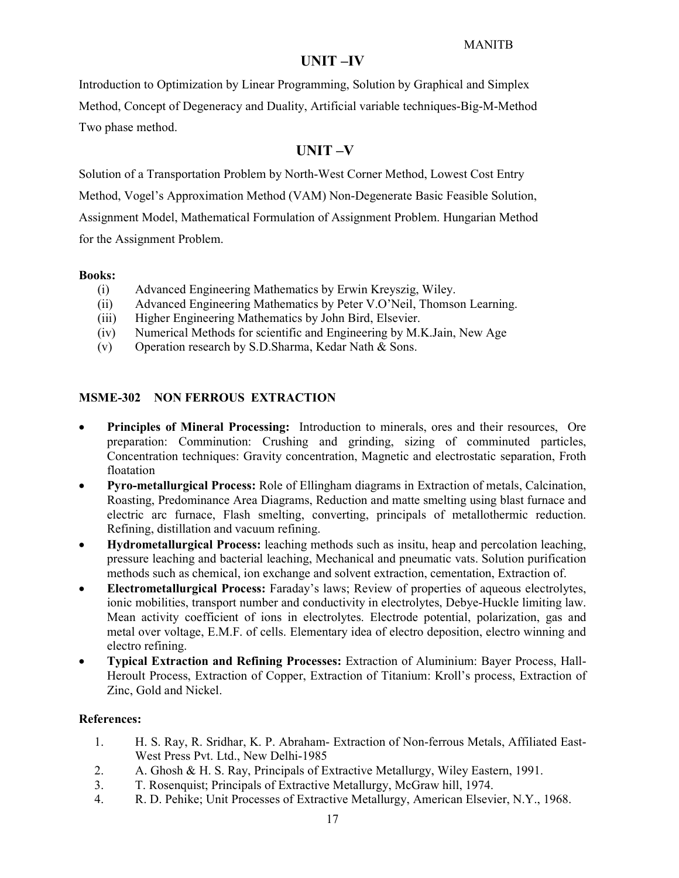# UNIT –IV

Introduction to Optimization by Linear Programming, Solution by Graphical and Simplex Method, Concept of Degeneracy and Duality, Artificial variable techniques-Big-M-Method Two phase method.

# UNIT –V

Solution of a Transportation Problem by North-West Corner Method, Lowest Cost Entry

Method, Vogel's Approximation Method (VAM) Non-Degenerate Basic Feasible Solution,

Assignment Model, Mathematical Formulation of Assignment Problem. Hungarian Method for the Assignment Problem.

# Books:

- (i) Advanced Engineering Mathematics by Erwin Kreyszig, Wiley.
- (ii) Advanced Engineering Mathematics by Peter V.O'Neil, Thomson Learning.
- (iii) Higher Engineering Mathematics by John Bird, Elsevier.
- (iv) Numerical Methods for scientific and Engineering by M.K.Jain, New Age
- (v) Operation research by S.D.Sharma, Kedar Nath & Sons.

# MSME-302 NON FERROUS EXTRACTION

- Principles of Mineral Processing: Introduction to minerals, ores and their resources, Ore preparation: Comminution: Crushing and grinding, sizing of comminuted particles, Concentration techniques: Gravity concentration, Magnetic and electrostatic separation, Froth floatation
- Pyro-metallurgical Process: Role of Ellingham diagrams in Extraction of metals, Calcination, Roasting, Predominance Area Diagrams, Reduction and matte smelting using blast furnace and electric arc furnace, Flash smelting, converting, principals of metallothermic reduction. Refining, distillation and vacuum refining.
- Hydrometallurgical Process: leaching methods such as insitu, heap and percolation leaching, pressure leaching and bacterial leaching, Mechanical and pneumatic vats. Solution purification methods such as chemical, ion exchange and solvent extraction, cementation, Extraction of.
- Electrometallurgical Process: Faraday's laws; Review of properties of aqueous electrolytes, ionic mobilities, transport number and conductivity in electrolytes, Debye-Huckle limiting law. Mean activity coefficient of ions in electrolytes. Electrode potential, polarization, gas and metal over voltage, E.M.F. of cells. Elementary idea of electro deposition, electro winning and electro refining.
- Typical Extraction and Refining Processes: Extraction of Aluminium: Bayer Process, Hall-Heroult Process, Extraction of Copper, Extraction of Titanium: Kroll's process, Extraction of Zinc, Gold and Nickel.

# References:

- 1. H. S. Ray, R. Sridhar, K. P. Abraham- Extraction of Non-ferrous Metals, Affiliated East-West Press Pvt. Ltd., New Delhi-1985
- 2. A. Ghosh & H. S. Ray, Principals of Extractive Metallurgy, Wiley Eastern, 1991.
- 3. T. Rosenquist; Principals of Extractive Metallurgy, McGraw hill, 1974.
- 4. R. D. Pehike; Unit Processes of Extractive Metallurgy, American Elsevier, N.Y., 1968.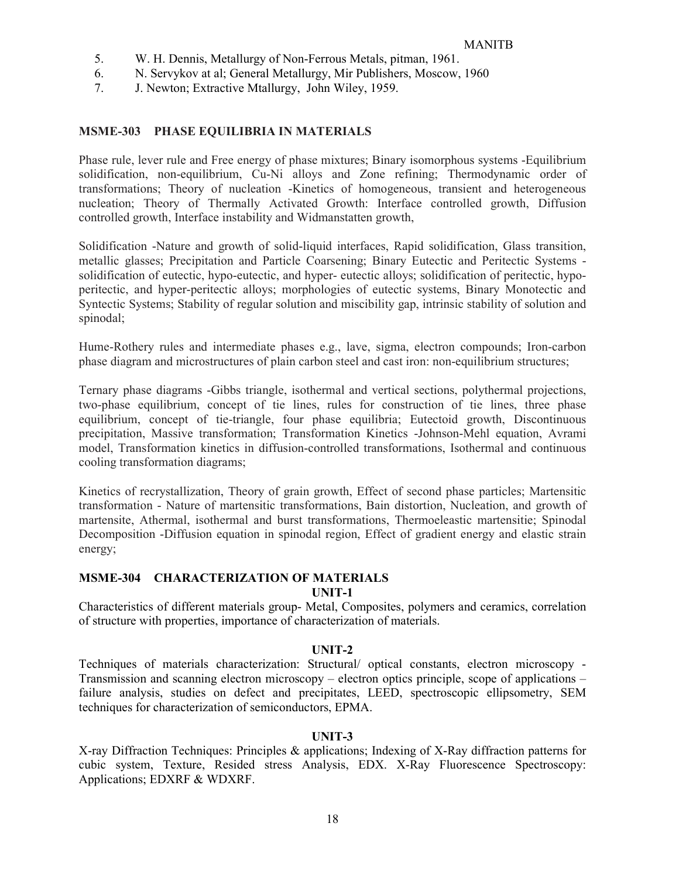- 5. W. H. Dennis, Metallurgy of Non-Ferrous Metals, pitman, 1961.
- 6. N. Servykov at al; General Metallurgy, Mir Publishers, Moscow, 1960
- 7. J. Newton; Extractive Mtallurgy, John Wiley, 1959.

### MSME-303 PHASE EQUILIBRIA IN MATERIALS

Phase rule, lever rule and Free energy of phase mixtures; Binary isomorphous systems -Equilibrium solidification, non-equilibrium, Cu-Ni alloys and Zone refining; Thermodynamic order of transformations; Theory of nucleation -Kinetics of homogeneous, transient and heterogeneous nucleation; Theory of Thermally Activated Growth: Interface controlled growth, Diffusion controlled growth, Interface instability and Widmanstatten growth,

Solidification -Nature and growth of solid-liquid interfaces, Rapid solidification, Glass transition, metallic glasses; Precipitation and Particle Coarsening; Binary Eutectic and Peritectic Systems solidification of eutectic, hypo-eutectic, and hyper- eutectic alloys; solidification of peritectic, hypoperitectic, and hyper-peritectic alloys; morphologies of eutectic systems, Binary Monotectic and Syntectic Systems; Stability of regular solution and miscibility gap, intrinsic stability of solution and spinodal;

Hume-Rothery rules and intermediate phases e.g., lave, sigma, electron compounds; Iron-carbon phase diagram and microstructures of plain carbon steel and cast iron: non-equilibrium structures;

Ternary phase diagrams -Gibbs triangle, isothermal and vertical sections, polythermal projections, two-phase equilibrium, concept of tie lines, rules for construction of tie lines, three phase equilibrium, concept of tie-triangle, four phase equilibria; Eutectoid growth, Discontinuous precipitation, Massive transformation; Transformation Kinetics -Johnson-Mehl equation, Avrami model, Transformation kinetics in diffusion-controlled transformations, Isothermal and continuous cooling transformation diagrams;

Kinetics of recrystallization, Theory of grain growth, Effect of second phase particles; Martensitic transformation - Nature of martensitic transformations, Bain distortion, Nucleation, and growth of martensite, Athermal, isothermal and burst transformations, Thermoeleastic martensitie; Spinodal Decomposition -Diffusion equation in spinodal region, Effect of gradient energy and elastic strain energy;

# MSME-304 CHARACTERIZATION OF MATERIALS

UNIT-1

Characteristics of different materials group- Metal, Composites, polymers and ceramics, correlation of structure with properties, importance of characterization of materials.

#### UNIT-2

Techniques of materials characterization: Structural/ optical constants, electron microscopy - Transmission and scanning electron microscopy – electron optics principle, scope of applications – failure analysis, studies on defect and precipitates, LEED, spectroscopic ellipsometry, SEM techniques for characterization of semiconductors, EPMA.

### UNIT-3

X-ray Diffraction Techniques: Principles & applications; Indexing of X-Ray diffraction patterns for cubic system, Texture, Resided stress Analysis, EDX. X-Ray Fluorescence Spectroscopy: Applications; EDXRF & WDXRF.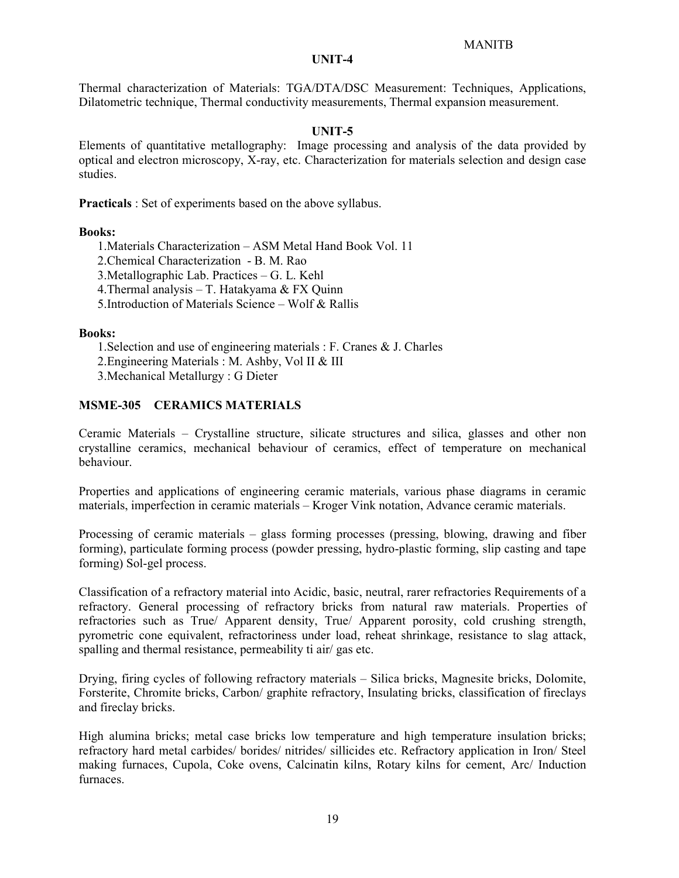#### UNIT-4

Thermal characterization of Materials: TGA/DTA/DSC Measurement: Techniques, Applications, Dilatometric technique, Thermal conductivity measurements, Thermal expansion measurement.

#### UNIT-5

Elements of quantitative metallography: Image processing and analysis of the data provided by optical and electron microscopy, X-ray, etc. Characterization for materials selection and design case studies.

Practicals : Set of experiments based on the above syllabus.

#### Books:

- 1.Materials Characterization ASM Metal Hand Book Vol. 11
- 2.Chemical Characterization B. M. Rao
- 3.Metallographic Lab. Practices G. L. Kehl
- 4.Thermal analysis T. Hatakyama & FX Quinn
- 5.Introduction of Materials Science Wolf & Rallis

#### Books:

- 1.Selection and use of engineering materials : F. Cranes & J. Charles
- 2.Engineering Materials : M. Ashby, Vol II & III
- 3.Mechanical Metallurgy : G Dieter

# MSME-305 CERAMICS MATERIALS

Ceramic Materials – Crystalline structure, silicate structures and silica, glasses and other non crystalline ceramics, mechanical behaviour of ceramics, effect of temperature on mechanical behaviour.

Properties and applications of engineering ceramic materials, various phase diagrams in ceramic materials, imperfection in ceramic materials – Kroger Vink notation, Advance ceramic materials.

Processing of ceramic materials – glass forming processes (pressing, blowing, drawing and fiber forming), particulate forming process (powder pressing, hydro-plastic forming, slip casting and tape forming) Sol-gel process.

Classification of a refractory material into Acidic, basic, neutral, rarer refractories Requirements of a refractory. General processing of refractory bricks from natural raw materials. Properties of refractories such as True/ Apparent density, True/ Apparent porosity, cold crushing strength, pyrometric cone equivalent, refractoriness under load, reheat shrinkage, resistance to slag attack, spalling and thermal resistance, permeability ti air/ gas etc.

Drying, firing cycles of following refractory materials – Silica bricks, Magnesite bricks, Dolomite, Forsterite, Chromite bricks, Carbon/ graphite refractory, Insulating bricks, classification of fireclays and fireclay bricks.

High alumina bricks; metal case bricks low temperature and high temperature insulation bricks; refractory hard metal carbides/ borides/ nitrides/ sillicides etc. Refractory application in Iron/ Steel making furnaces, Cupola, Coke ovens, Calcinatin kilns, Rotary kilns for cement, Arc/ Induction furnaces.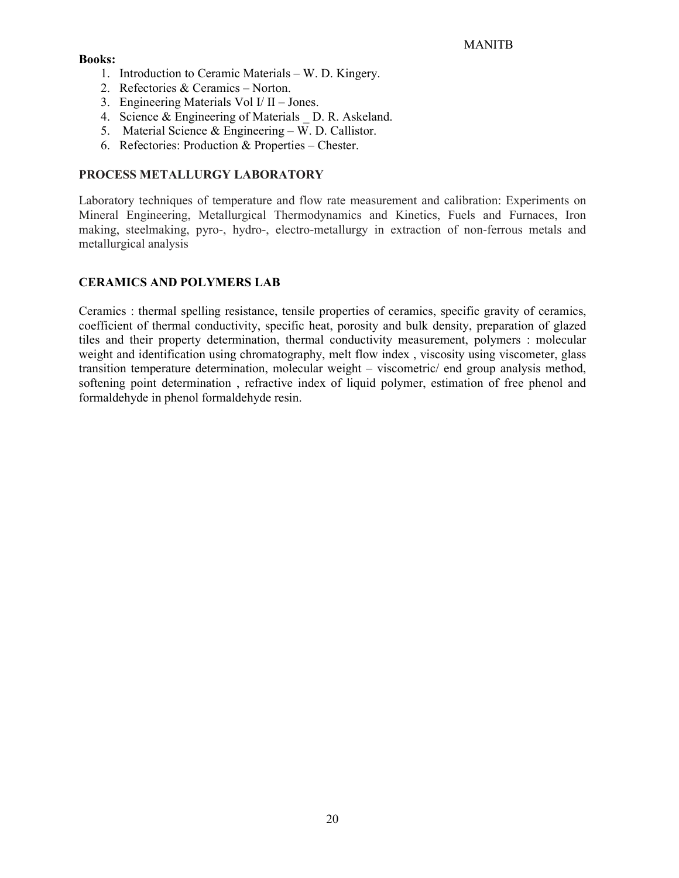### Books:

- 1. Introduction to Ceramic Materials W. D. Kingery.
- 2. Refectories & Ceramics Norton.
- 3. Engineering Materials Vol I/ II Jones.
- 4. Science & Engineering of Materials D. R. Askeland.
- 5. Material Science & Engineering W. D. Callistor.
- 6. Refectories: Production & Properties Chester.

# PROCESS METALLURGY LABORATORY

Laboratory techniques of temperature and flow rate measurement and calibration: Experiments on Mineral Engineering, Metallurgical Thermodynamics and Kinetics, Fuels and Furnaces, Iron making, steelmaking, pyro-, hydro-, electro-metallurgy in extraction of non-ferrous metals and metallurgical analysis

# CERAMICS AND POLYMERS LAB

Ceramics : thermal spelling resistance, tensile properties of ceramics, specific gravity of ceramics, coefficient of thermal conductivity, specific heat, porosity and bulk density, preparation of glazed tiles and their property determination, thermal conductivity measurement, polymers : molecular weight and identification using chromatography, melt flow index , viscosity using viscometer, glass transition temperature determination, molecular weight – viscometric/ end group analysis method, softening point determination , refractive index of liquid polymer, estimation of free phenol and formaldehyde in phenol formaldehyde resin.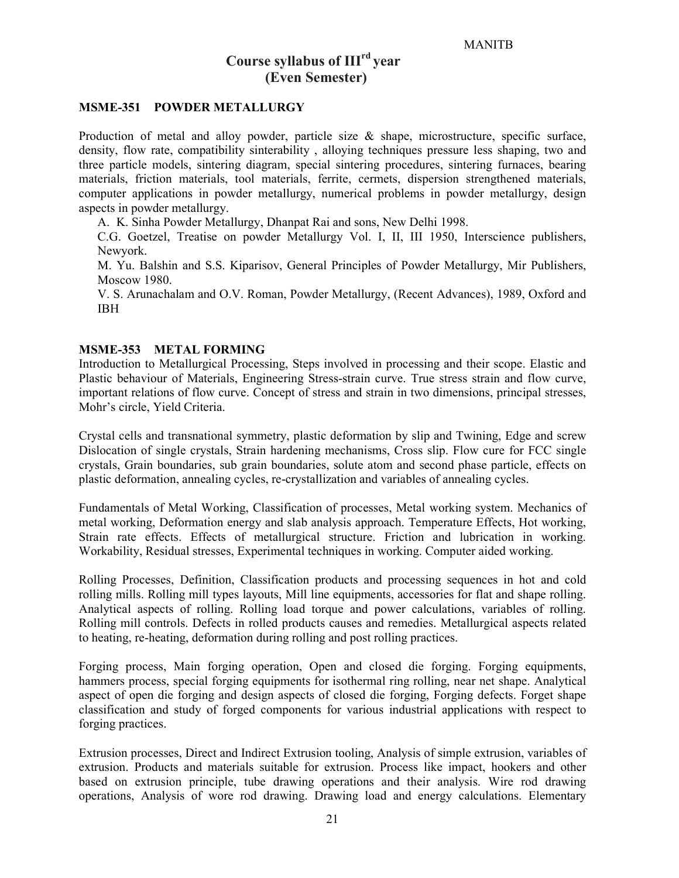# Course syllabus of  $III<sup>rd</sup> year$ (Even Semester)

#### MSME-351 POWDER METALLURGY

Production of metal and alloy powder, particle size  $\&$  shape, microstructure, specific surface, density, flow rate, compatibility sinterability , alloying techniques pressure less shaping, two and three particle models, sintering diagram, special sintering procedures, sintering furnaces, bearing materials, friction materials, tool materials, ferrite, cermets, dispersion strengthened materials, computer applications in powder metallurgy, numerical problems in powder metallurgy, design aspects in powder metallurgy.

A. K. Sinha Powder Metallurgy, Dhanpat Rai and sons, New Delhi 1998.

C.G. Goetzel, Treatise on powder Metallurgy Vol. I, II, III 1950, Interscience publishers, Newyork.

M. Yu. Balshin and S.S. Kiparisov, General Principles of Powder Metallurgy, Mir Publishers, Moscow 1980.

V. S. Arunachalam and O.V. Roman, Powder Metallurgy, (Recent Advances), 1989, Oxford and IBH

#### MSME-353 METAL FORMING

Introduction to Metallurgical Processing, Steps involved in processing and their scope. Elastic and Plastic behaviour of Materials, Engineering Stress-strain curve. True stress strain and flow curve, important relations of flow curve. Concept of stress and strain in two dimensions, principal stresses, Mohr's circle, Yield Criteria.

Crystal cells and transnational symmetry, plastic deformation by slip and Twining, Edge and screw Dislocation of single crystals, Strain hardening mechanisms, Cross slip. Flow cure for FCC single crystals, Grain boundaries, sub grain boundaries, solute atom and second phase particle, effects on plastic deformation, annealing cycles, re-crystallization and variables of annealing cycles.

Fundamentals of Metal Working, Classification of processes, Metal working system. Mechanics of metal working, Deformation energy and slab analysis approach. Temperature Effects, Hot working, Strain rate effects. Effects of metallurgical structure. Friction and lubrication in working. Workability, Residual stresses, Experimental techniques in working. Computer aided working.

Rolling Processes, Definition, Classification products and processing sequences in hot and cold rolling mills. Rolling mill types layouts, Mill line equipments, accessories for flat and shape rolling. Analytical aspects of rolling. Rolling load torque and power calculations, variables of rolling. Rolling mill controls. Defects in rolled products causes and remedies. Metallurgical aspects related to heating, re-heating, deformation during rolling and post rolling practices.

Forging process, Main forging operation, Open and closed die forging. Forging equipments, hammers process, special forging equipments for isothermal ring rolling, near net shape. Analytical aspect of open die forging and design aspects of closed die forging, Forging defects. Forget shape classification and study of forged components for various industrial applications with respect to forging practices.

Extrusion processes, Direct and Indirect Extrusion tooling, Analysis of simple extrusion, variables of extrusion. Products and materials suitable for extrusion. Process like impact, hookers and other based on extrusion principle, tube drawing operations and their analysis. Wire rod drawing operations, Analysis of wore rod drawing. Drawing load and energy calculations. Elementary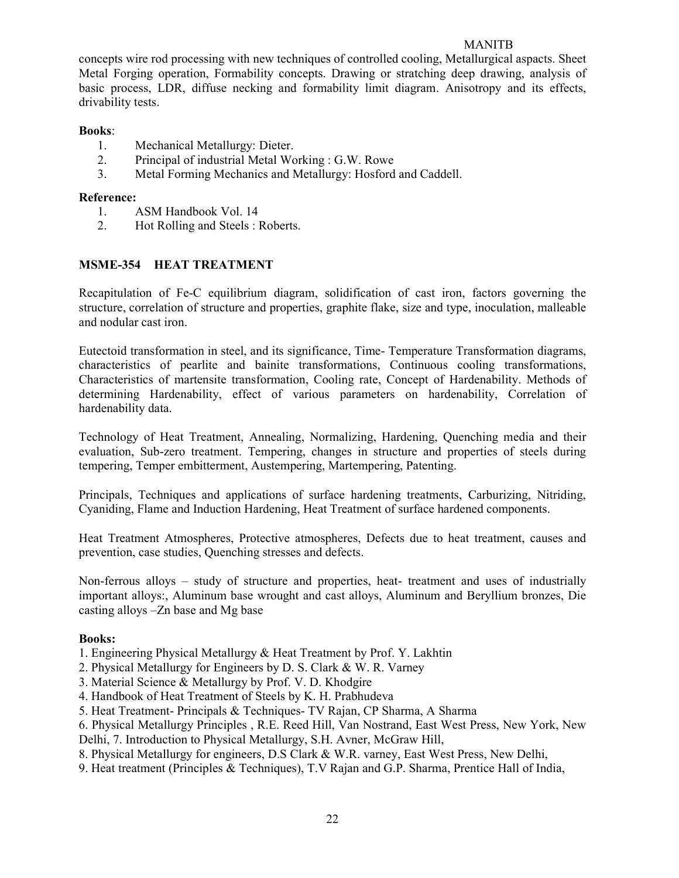concepts wire rod processing with new techniques of controlled cooling, Metallurgical aspacts. Sheet Metal Forging operation, Formability concepts. Drawing or stratching deep drawing, analysis of basic process, LDR, diffuse necking and formability limit diagram. Anisotropy and its effects, drivability tests.

# Books:

- 1. Mechanical Metallurgy: Dieter.
- 2. Principal of industrial Metal Working : G.W. Rowe
- 3. Metal Forming Mechanics and Metallurgy: Hosford and Caddell.

# Reference:

- 1. ASM Handbook Vol. 14
- 2. Hot Rolling and Steels : Roberts.

# MSME-354 HEAT TREATMENT

Recapitulation of Fe-C equilibrium diagram, solidification of cast iron, factors governing the structure, correlation of structure and properties, graphite flake, size and type, inoculation, malleable and nodular cast iron.

Eutectoid transformation in steel, and its significance, Time- Temperature Transformation diagrams, characteristics of pearlite and bainite transformations, Continuous cooling transformations, Characteristics of martensite transformation, Cooling rate, Concept of Hardenability. Methods of determining Hardenability, effect of various parameters on hardenability, Correlation of hardenability data.

Technology of Heat Treatment, Annealing, Normalizing, Hardening, Quenching media and their evaluation, Sub-zero treatment. Tempering, changes in structure and properties of steels during tempering, Temper embitterment, Austempering, Martempering, Patenting.

Principals, Techniques and applications of surface hardening treatments, Carburizing, Nitriding, Cyaniding, Flame and Induction Hardening, Heat Treatment of surface hardened components.

Heat Treatment Atmospheres, Protective atmospheres, Defects due to heat treatment, causes and prevention, case studies, Quenching stresses and defects.

Non-ferrous alloys – study of structure and properties, heat- treatment and uses of industrially important alloys:, Aluminum base wrought and cast alloys, Aluminum and Beryllium bronzes, Die casting alloys –Zn base and Mg base

# Books:

1. Engineering Physical Metallurgy & Heat Treatment by Prof. Y. Lakhtin

- 2. Physical Metallurgy for Engineers by D. S. Clark & W. R. Varney
- 3. Material Science & Metallurgy by Prof. V. D. Khodgire
- 4. Handbook of Heat Treatment of Steels by K. H. Prabhudeva
- 5. Heat Treatment- Principals & Techniques- TV Rajan, CP Sharma, A Sharma
- 6. Physical Metallurgy Principles , R.E. Reed Hill, Van Nostrand, East West Press, New York, New Delhi, 7. Introduction to Physical Metallurgy, S.H. Avner, McGraw Hill,
- 8. Physical Metallurgy for engineers, D.S Clark & W.R. varney, East West Press, New Delhi,
- 9. Heat treatment (Principles & Techniques), T.V Rajan and G.P. Sharma, Prentice Hall of India,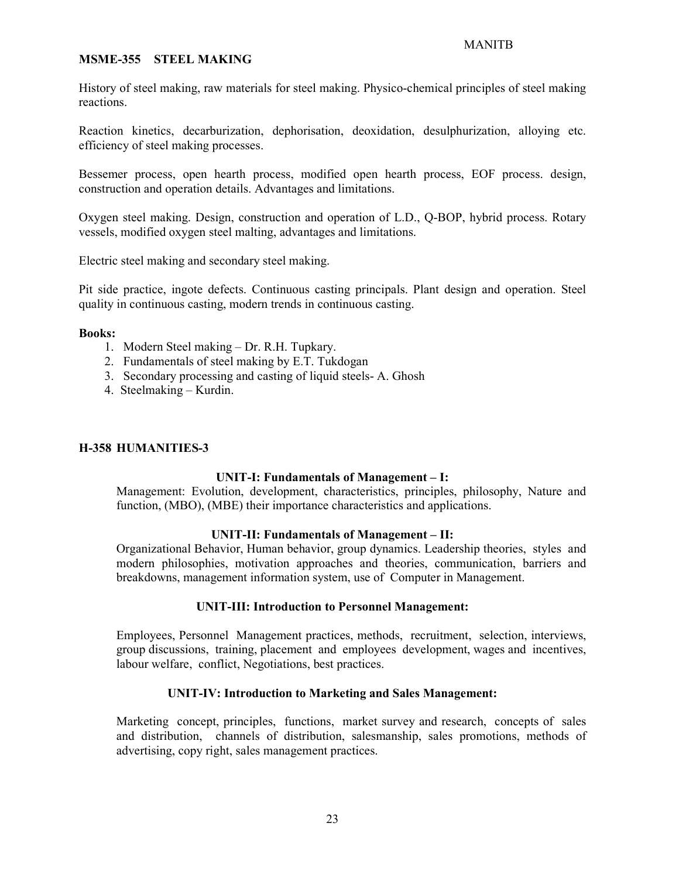#### MSME-355 STEEL MAKING

History of steel making, raw materials for steel making. Physico-chemical principles of steel making reactions.

Reaction kinetics, decarburization, dephorisation, deoxidation, desulphurization, alloying etc. efficiency of steel making processes.

Bessemer process, open hearth process, modified open hearth process, EOF process. design, construction and operation details. Advantages and limitations.

Oxygen steel making. Design, construction and operation of L.D., Q-BOP, hybrid process. Rotary vessels, modified oxygen steel malting, advantages and limitations.

Electric steel making and secondary steel making.

Pit side practice, ingote defects. Continuous casting principals. Plant design and operation. Steel quality in continuous casting, modern trends in continuous casting.

#### Books:

- 1. Modern Steel making Dr. R.H. Tupkary.
- 2. Fundamentals of steel making by E.T. Tukdogan
- 3. Secondary processing and casting of liquid steels- A. Ghosh
- 4. Steelmaking Kurdin.

#### H-358 HUMANITIES-3

### UNIT-I: Fundamentals of Management – I:

Management: Evolution, development, characteristics, principles, philosophy, Nature and function, (MBO), (MBE) their importance characteristics and applications.

#### UNIT-II: Fundamentals of Management – II:

Organizational Behavior, Human behavior, group dynamics. Leadership theories, styles and modern philosophies, motivation approaches and theories, communication, barriers and breakdowns, management information system, use of Computer in Management.

#### UNIT-III: Introduction to Personnel Management:

Employees, Personnel Management practices, methods, recruitment, selection, interviews, group discussions, training, placement and employees development, wages and incentives, labour welfare, conflict, Negotiations, best practices.

#### UNIT-IV: Introduction to Marketing and Sales Management:

Marketing concept, principles, functions, market survey and research, concepts of sales and distribution, channels of distribution, salesmanship, sales promotions, methods of advertising, copy right, sales management practices.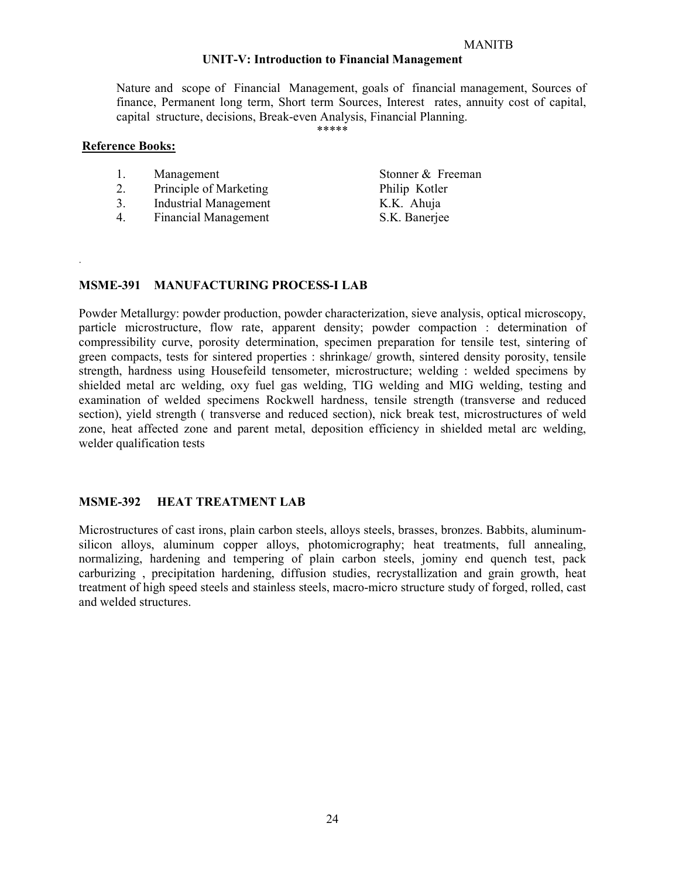### UNIT-V: Introduction to Financial Management

Nature and scope of Financial Management, goals of financial management, Sources of finance, Permanent long term, Short term Sources, Interest rates, annuity cost of capital, capital structure, decisions, Break-even Analysis, Financial Planning.

\*\*\*\*\*

#### Reference Books:

.

- 2. Principle of Marketing Philip Kotler
- 3. Industrial Management K.K. Ahuja
- 4. Financial Management S.K. Banerjee

Stonner & Freeman

#### MSME-391 MANUFACTURING PROCESS-I LAB

Powder Metallurgy: powder production, powder characterization, sieve analysis, optical microscopy, particle microstructure, flow rate, apparent density; powder compaction : determination of compressibility curve, porosity determination, specimen preparation for tensile test, sintering of green compacts, tests for sintered properties : shrinkage/ growth, sintered density porosity, tensile strength, hardness using Housefeild tensometer, microstructure; welding : welded specimens by shielded metal arc welding, oxy fuel gas welding, TIG welding and MIG welding, testing and examination of welded specimens Rockwell hardness, tensile strength (transverse and reduced section), yield strength ( transverse and reduced section), nick break test, microstructures of weld zone, heat affected zone and parent metal, deposition efficiency in shielded metal arc welding, welder qualification tests

#### MSME-392 HEAT TREATMENT LAB

Microstructures of cast irons, plain carbon steels, alloys steels, brasses, bronzes. Babbits, aluminumsilicon alloys, aluminum copper alloys, photomicrography; heat treatments, full annealing, normalizing, hardening and tempering of plain carbon steels, jominy end quench test, pack carburizing , precipitation hardening, diffusion studies, recrystallization and grain growth, heat treatment of high speed steels and stainless steels, macro-micro structure study of forged, rolled, cast and welded structures.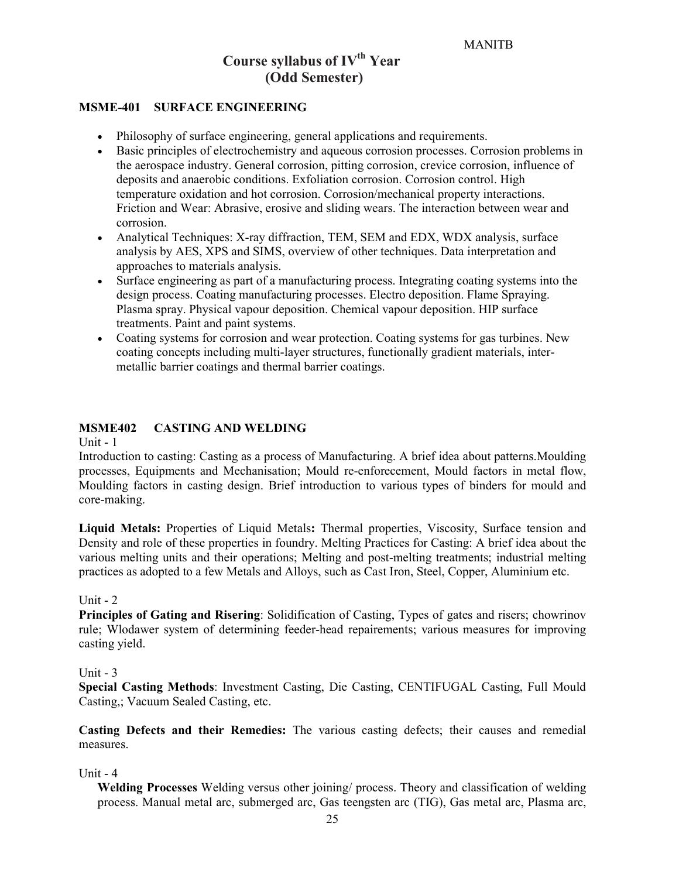# Course syllabus of IV<sup>th</sup> Year (Odd Semester)

#### MSME-401 SURFACE ENGINEERING

- Philosophy of surface engineering, general applications and requirements.
- Basic principles of electrochemistry and aqueous corrosion processes. Corrosion problems in the aerospace industry. General corrosion, pitting corrosion, crevice corrosion, influence of deposits and anaerobic conditions. Exfoliation corrosion. Corrosion control. High temperature oxidation and hot corrosion. Corrosion/mechanical property interactions. Friction and Wear: Abrasive, erosive and sliding wears. The interaction between wear and corrosion.
- Analytical Techniques: X-ray diffraction, TEM, SEM and EDX, WDX analysis, surface analysis by AES, XPS and SIMS, overview of other techniques. Data interpretation and approaches to materials analysis.
- Surface engineering as part of a manufacturing process. Integrating coating systems into the design process. Coating manufacturing processes. Electro deposition. Flame Spraying. Plasma spray. Physical vapour deposition. Chemical vapour deposition. HIP surface treatments. Paint and paint systems.
- Coating systems for corrosion and wear protection. Coating systems for gas turbines. New coating concepts including multi-layer structures, functionally gradient materials, intermetallic barrier coatings and thermal barrier coatings.

#### MSME402 CASTING AND WELDING

Unit  $-1$ 

Introduction to casting: Casting as a process of Manufacturing. A brief idea about patterns.Moulding processes, Equipments and Mechanisation; Mould re-enforecement, Mould factors in metal flow, Moulding factors in casting design. Brief introduction to various types of binders for mould and core-making.

Liquid Metals: Properties of Liquid Metals: Thermal properties, Viscosity, Surface tension and Density and role of these properties in foundry. Melting Practices for Casting: A brief idea about the various melting units and their operations; Melting and post-melting treatments; industrial melting practices as adopted to a few Metals and Alloys, such as Cast Iron, Steel, Copper, Aluminium etc.

#### Unit  $-2$

Principles of Gating and Risering: Solidification of Casting, Types of gates and risers; chowrinov rule; Wlodawer system of determining feeder-head repairements; various measures for improving casting yield.

#### Unit - 3

Special Casting Methods: Investment Casting, Die Casting, CENTIFUGAL Casting, Full Mould Casting,; Vacuum Sealed Casting, etc.

Casting Defects and their Remedies: The various casting defects; their causes and remedial measures.

#### Unit - 4

Welding Processes Welding versus other joining/ process. Theory and classification of welding process. Manual metal arc, submerged arc, Gas teengsten arc (TIG), Gas metal arc, Plasma arc,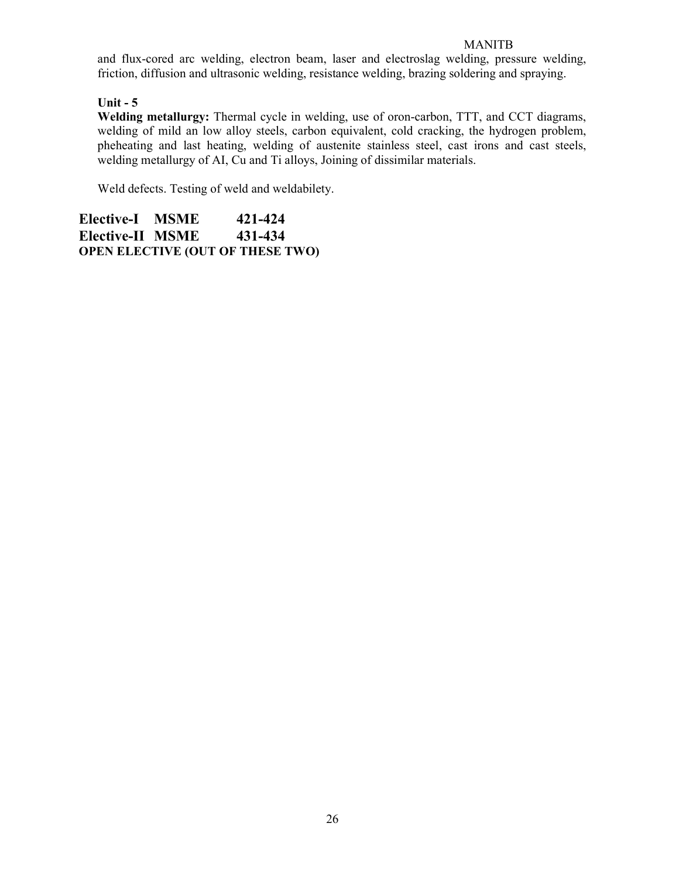and flux-cored arc welding, electron beam, laser and electroslag welding, pressure welding, friction, diffusion and ultrasonic welding, resistance welding, brazing soldering and spraying.

# Unit  $-5$

Welding metallurgy: Thermal cycle in welding, use of oron-carbon, TTT, and CCT diagrams, welding of mild an low alloy steels, carbon equivalent, cold cracking, the hydrogen problem, pheheating and last heating, welding of austenite stainless steel, cast irons and cast steels, welding metallurgy of AI, Cu and Ti alloys, Joining of dissimilar materials.

Weld defects. Testing of weld and weldabilety.

Elective-I MSME 421-424 Elective-II MSME 431-434 OPEN ELECTIVE (OUT OF THESE TWO)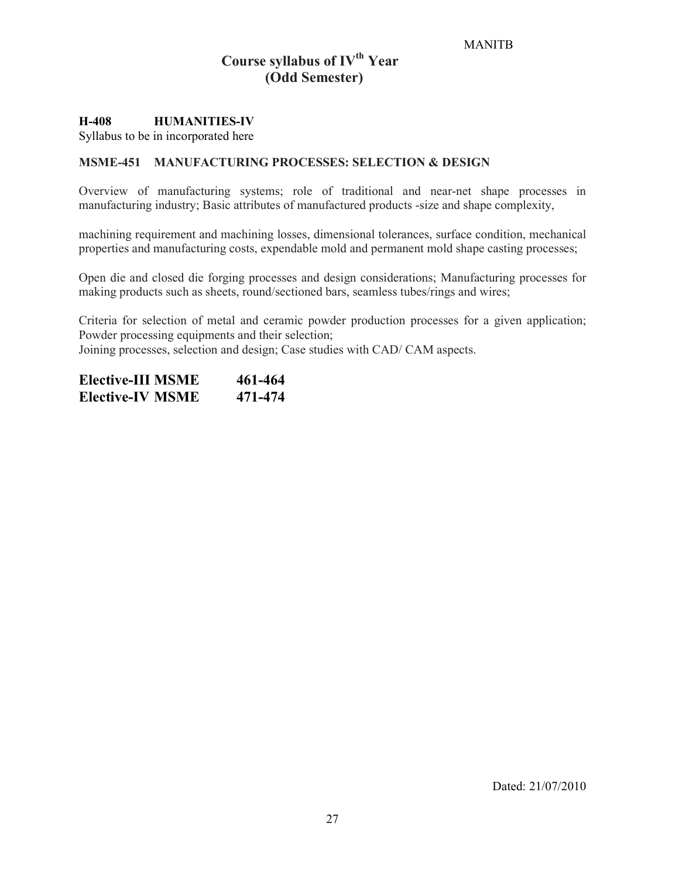# Course syllabus of  $IV<sup>th</sup> Year$ (Odd Semester)

#### H-408 HUMANITIES-IV

Syllabus to be in incorporated here

#### MSME-451 MANUFACTURING PROCESSES: SELECTION & DESIGN

Overview of manufacturing systems; role of traditional and near-net shape processes in manufacturing industry; Basic attributes of manufactured products -size and shape complexity,

machining requirement and machining losses, dimensional tolerances, surface condition, mechanical properties and manufacturing costs, expendable mold and permanent mold shape casting processes;

Open die and closed die forging processes and design considerations; Manufacturing processes for making products such as sheets, round/sectioned bars, seamless tubes/rings and wires;

Criteria for selection of metal and ceramic powder production processes for a given application; Powder processing equipments and their selection; Joining processes, selection and design; Case studies with CAD/ CAM aspects.

| <b>Elective-III MSME</b> | 461-464 |
|--------------------------|---------|
| <b>Elective-IV MSME</b>  | 471-474 |

Dated: 21/07/2010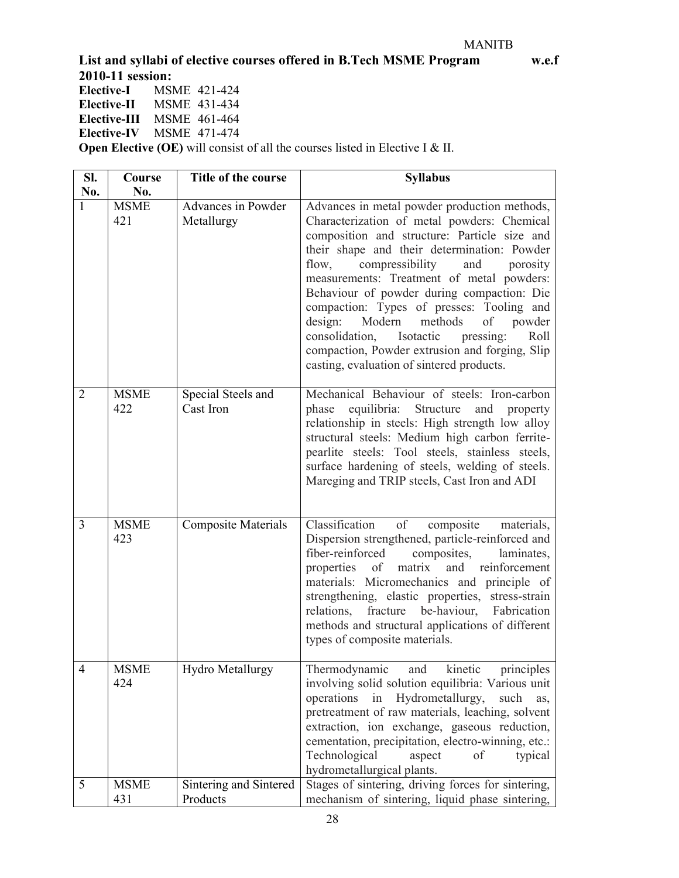List and syllabi of elective courses offered in B.Tech MSME Program w.e.f

2010-11 session:<br>Elective-I MSI Elective-I MSME 421-424<br>Elective-II MSME 431-434 MSME 431-434 Elective-III MSME 461-464 Elective-IV MSME 471-474

**Open Elective (OE)** will consist of all the courses listed in Elective I & II.

| SI.<br>No.     | Course<br>No.      | Title of the course                | <b>Syllabus</b>                                                                                                                                                                                                                                                                                                                                                                                                                                                                                                                                                                |
|----------------|--------------------|------------------------------------|--------------------------------------------------------------------------------------------------------------------------------------------------------------------------------------------------------------------------------------------------------------------------------------------------------------------------------------------------------------------------------------------------------------------------------------------------------------------------------------------------------------------------------------------------------------------------------|
|                | <b>MSME</b><br>421 | Advances in Powder<br>Metallurgy   | Advances in metal powder production methods,<br>Characterization of metal powders: Chemical<br>composition and structure: Particle size and<br>their shape and their determination: Powder<br>compressibility<br>flow,<br>and<br>porosity<br>measurements: Treatment of metal powders:<br>Behaviour of powder during compaction: Die<br>compaction: Types of presses: Tooling and<br>design: Modern<br>methods<br>of powder<br>consolidation,<br>Isotactic<br>Roll<br>pressing:<br>compaction, Powder extrusion and forging, Slip<br>casting, evaluation of sintered products. |
| $\overline{2}$ | <b>MSME</b><br>422 | Special Steels and<br>Cast Iron    | Mechanical Behaviour of steels: Iron-carbon<br>equilibria: Structure<br>and property<br>phase<br>relationship in steels: High strength low alloy<br>structural steels: Medium high carbon ferrite-<br>pearlite steels: Tool steels, stainless steels,<br>surface hardening of steels, welding of steels.<br>Mareging and TRIP steels, Cast Iron and ADI                                                                                                                                                                                                                        |
| 3              | <b>MSME</b><br>423 | <b>Composite Materials</b>         | Classification of<br>composite<br>materials,<br>Dispersion strengthened, particle-reinforced and<br>fiber-reinforced<br>composites,<br>laminates,<br>and reinforcement<br>properties of<br>matrix<br>materials: Micromechanics and principle of<br>strengthening, elastic properties, stress-strain<br>be-haviour,<br>relations,<br>fracture<br>Fabrication<br>methods and structural applications of different<br>types of composite materials.                                                                                                                               |
| 4              | <b>MSME</b><br>424 | <b>Hydro Metallurgy</b>            | kinetic<br>Thermodynamic<br>and<br>principles<br>involving solid solution equilibria: Various unit<br>Hydrometallurgy,<br>operations<br>in<br>such<br>as,<br>pretreatment of raw materials, leaching, solvent<br>extraction, ion exchange, gaseous reduction,<br>cementation, precipitation, electro-winning, etc.:<br>Technological<br>aspect<br>typical<br>of<br>hydrometallurgical plants.                                                                                                                                                                                  |
| 5              | <b>MSME</b><br>431 | Sintering and Sintered<br>Products | Stages of sintering, driving forces for sintering,<br>mechanism of sintering, liquid phase sintering,                                                                                                                                                                                                                                                                                                                                                                                                                                                                          |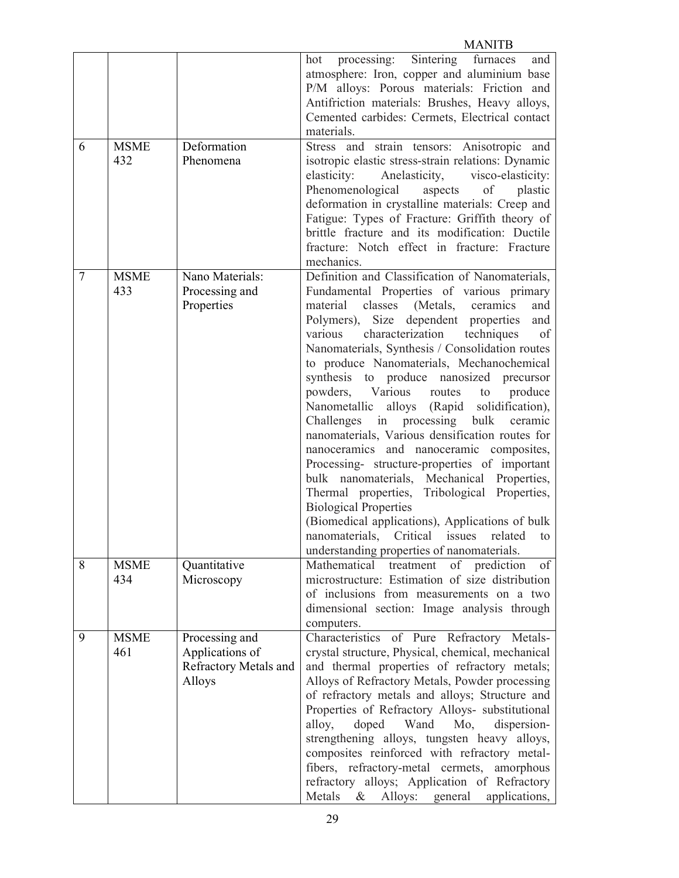|   |                    |                                                                      | <b>MANITB</b>                                                                                                                                                                                                                                                                                                                                                                                                                                                                                                                                                                                                                                                                                                                                                                                                                                                                                                                                              |
|---|--------------------|----------------------------------------------------------------------|------------------------------------------------------------------------------------------------------------------------------------------------------------------------------------------------------------------------------------------------------------------------------------------------------------------------------------------------------------------------------------------------------------------------------------------------------------------------------------------------------------------------------------------------------------------------------------------------------------------------------------------------------------------------------------------------------------------------------------------------------------------------------------------------------------------------------------------------------------------------------------------------------------------------------------------------------------|
|   |                    |                                                                      | processing: Sintering<br>furnaces<br>hot<br>and<br>atmosphere: Iron, copper and aluminium base<br>P/M alloys: Porous materials: Friction and<br>Antifriction materials: Brushes, Heavy alloys,<br>Cemented carbides: Cermets, Electrical contact<br>materials.                                                                                                                                                                                                                                                                                                                                                                                                                                                                                                                                                                                                                                                                                             |
| 6 | <b>MSME</b><br>432 | Deformation<br>Phenomena                                             | Stress and strain tensors: Anisotropic and<br>isotropic elastic stress-strain relations: Dynamic<br>elasticity:<br>Anelasticity,<br>visco-elasticity:<br>Phenomenological<br>aspects<br>of<br>plastic<br>deformation in crystalline materials: Creep and<br>Fatigue: Types of Fracture: Griffith theory of<br>brittle fracture and its modification: Ductile<br>fracture: Notch effect in fracture: Fracture<br>mechanics.                                                                                                                                                                                                                                                                                                                                                                                                                                                                                                                                 |
| 7 | <b>MSME</b><br>433 | Nano Materials:<br>Processing and<br>Properties                      | Definition and Classification of Nanomaterials,<br>Fundamental Properties of various primary<br>material<br>classes (Metals, ceramics<br>and<br>Polymers), Size dependent properties<br>and<br>characterization<br>techniques<br>various<br>of<br>Nanomaterials, Synthesis / Consolidation routes<br>to produce Nanomaterials, Mechanochemical<br>synthesis to produce nanosized precursor<br>powders, Various routes to<br>produce<br>Nanometallic alloys (Rapid solidification),<br>Challenges in processing bulk<br>ceramic<br>nanomaterials, Various densification routes for<br>nanoceramics and nanoceramic composites,<br>Processing- structure-properties of important<br>bulk nanomaterials, Mechanical Properties,<br>Thermal properties, Tribological Properties,<br><b>Biological Properties</b><br>(Biomedical applications), Applications of bulk<br>nanomaterials, Critical issues related to<br>understanding properties of nanomaterials. |
| 8 | <b>MSME</b><br>434 | Quantitative<br>Microscopy                                           | Mathematical treatment of prediction<br>of<br>microstructure: Estimation of size distribution<br>of inclusions from measurements on a two<br>dimensional section: Image analysis through<br>computers.                                                                                                                                                                                                                                                                                                                                                                                                                                                                                                                                                                                                                                                                                                                                                     |
| 9 | <b>MSME</b><br>461 | Processing and<br>Applications of<br>Refractory Metals and<br>Alloys | Characteristics of Pure Refractory Metals-<br>crystal structure, Physical, chemical, mechanical<br>and thermal properties of refractory metals;<br>Alloys of Refractory Metals, Powder processing<br>of refractory metals and alloys; Structure and<br>Properties of Refractory Alloys- substitutional<br>alloy,<br>doped Wand Mo,<br>dispersion-<br>strengthening alloys, tungsten heavy alloys,<br>composites reinforced with refractory metal-<br>fibers, refractory-metal cermets, amorphous<br>refractory alloys; Application of Refractory<br>Metals<br>Alloys: general applications,<br>$\&$                                                                                                                                                                                                                                                                                                                                                        |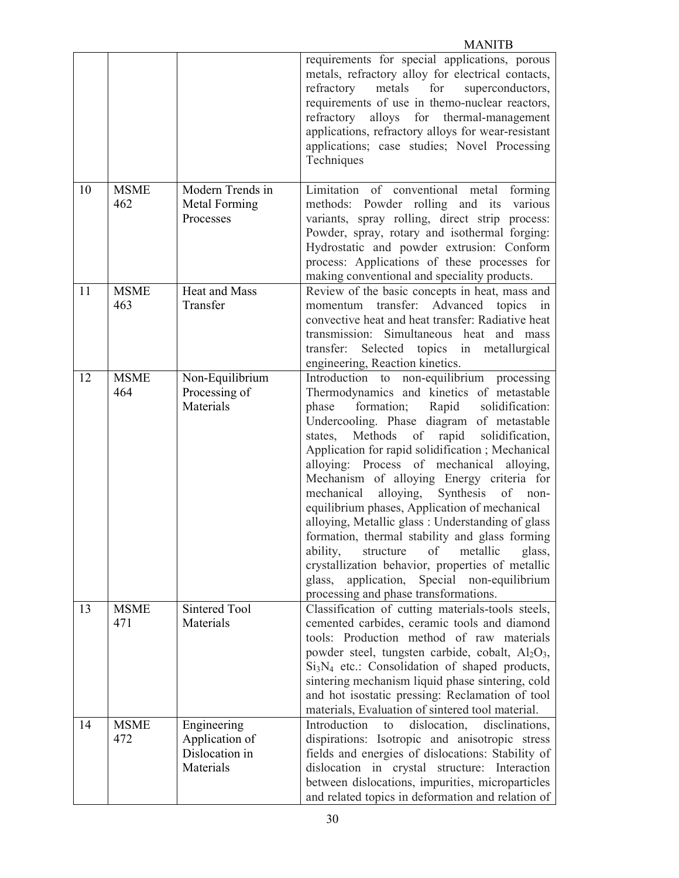|    |                    |                                                              | <b>MANITB</b>                                                                                                                                                                                                                                                                                                                                                                                                                                                                                                                                                                                                                                                                                                                                                                                             |
|----|--------------------|--------------------------------------------------------------|-----------------------------------------------------------------------------------------------------------------------------------------------------------------------------------------------------------------------------------------------------------------------------------------------------------------------------------------------------------------------------------------------------------------------------------------------------------------------------------------------------------------------------------------------------------------------------------------------------------------------------------------------------------------------------------------------------------------------------------------------------------------------------------------------------------|
|    |                    |                                                              | requirements for special applications, porous<br>metals, refractory alloy for electrical contacts,<br>refractory<br>metals<br>for<br>superconductors,<br>requirements of use in themo-nuclear reactors,<br>refractory<br>alloys for thermal-management<br>applications, refractory alloys for wear-resistant<br>applications; case studies; Novel Processing<br>Techniques                                                                                                                                                                                                                                                                                                                                                                                                                                |
| 10 | <b>MSME</b><br>462 | Modern Trends in<br>Metal Forming<br>Processes               | Limitation of conventional metal forming<br>methods: Powder rolling and its various<br>variants, spray rolling, direct strip process:<br>Powder, spray, rotary and isothermal forging:<br>Hydrostatic and powder extrusion: Conform<br>process: Applications of these processes for<br>making conventional and speciality products.                                                                                                                                                                                                                                                                                                                                                                                                                                                                       |
| 11 | <b>MSME</b><br>463 | Heat and Mass<br>Transfer                                    | Review of the basic concepts in heat, mass and<br>momentum transfer: Advanced topics in<br>convective heat and heat transfer: Radiative heat<br>transmission: Simultaneous heat and mass<br>transfer:<br>Selected topics in metallurgical<br>engineering, Reaction kinetics.                                                                                                                                                                                                                                                                                                                                                                                                                                                                                                                              |
| 12 | <b>MSME</b><br>464 | Non-Equilibrium<br>Processing of<br>Materials                | Introduction to non-equilibrium processing<br>Thermodynamics and kinetics of metastable<br>phase<br>formation; Rapid<br>solidification:<br>Undercooling. Phase diagram of metastable<br>Methods of rapid<br>solidification,<br>states,<br>Application for rapid solidification; Mechanical<br>alloying: Process of mechanical alloying,<br>Mechanism of alloying Energy criteria for<br>mechanical<br>alloying,<br>Synthesis<br>of<br>non-<br>equilibrium phases, Application of mechanical<br>alloying, Metallic glass : Understanding of glass<br>formation, thermal stability and glass forming<br>of<br>ability,<br>structure<br>metallic<br>glass,<br>crystallization behavior, properties of metallic<br>Special non-equilibrium<br>application,<br>glass,<br>processing and phase transformations. |
| 13 | <b>MSME</b><br>471 | Sintered Tool<br>Materials                                   | Classification of cutting materials-tools steels,<br>cemented carbides, ceramic tools and diamond<br>tools: Production method of raw materials<br>powder steel, tungsten carbide, cobalt, Al <sub>2</sub> O <sub>3</sub> ,<br>$Si3N4$ etc.: Consolidation of shaped products,<br>sintering mechanism liquid phase sintering, cold<br>and hot isostatic pressing: Reclamation of tool<br>materials, Evaluation of sintered tool material.                                                                                                                                                                                                                                                                                                                                                                  |
| 14 | <b>MSME</b><br>472 | Engineering<br>Application of<br>Dislocation in<br>Materials | Introduction<br>dislocation,<br>disclinations,<br>to<br>dispirations. Isotropic and anisotropic stress<br>fields and energies of dislocations. Stability of<br>dislocation in crystal structure: Interaction<br>between dislocations, impurities, microparticles<br>and related topics in deformation and relation of                                                                                                                                                                                                                                                                                                                                                                                                                                                                                     |